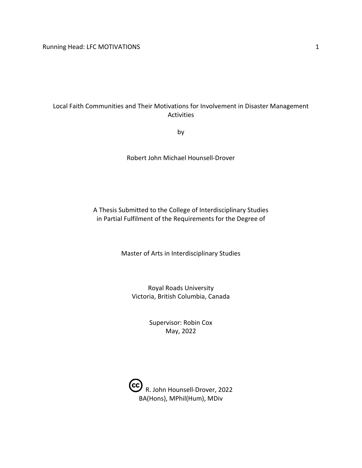# Local Faith Communities and Their Motivations for Involvement in Disaster Management Activities

by

Robert John Michael Hounsell-Drover

A Thesis Submitted to the College of Interdisciplinary Studies in Partial Fulfilment of the Requirements for the Degree of

Master of Arts in Interdisciplinary Studies

Royal Roads University Victoria, British Columbia, Canada

> Supervisor: Robin Cox May, 2022

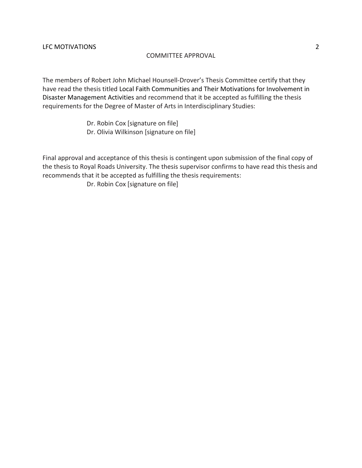### COMMITTEE APPROVAL

The members of Robert John Michael Hounsell-Drover's Thesis Committee certify that they have read the thesis titled Local Faith Communities and Their Motivations for Involvement in Disaster Management Activities and recommend that it be accepted as fulfilling the thesis requirements for the Degree of Master of Arts in Interdisciplinary Studies:

Dr. Robin Cox [signature on file]

Dr. Olivia Wilkinson [signature on file]

Final approval and acceptance of this thesis is contingent upon submission of the final copy of the thesis to Royal Roads University. The thesis supervisor confirms to have read this thesis and recommends that it be accepted as fulfilling the thesis requirements:

Dr. Robin Cox [signature on file]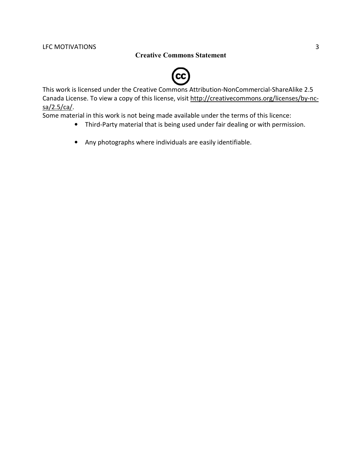## **Creative Commons Statement**



This work is licensed under the Creative Commons Attribution-NonCommercial-ShareAlike 2.5 Canada License. To view a copy of this license, visit http://creativecommons.org/licenses/by-ncsa/2.5/ca/.

Some material in this work is not being made available under the terms of this licence:

- Third-Party material that is being used under fair dealing or with permission.
- Any photographs where individuals are easily identifiable.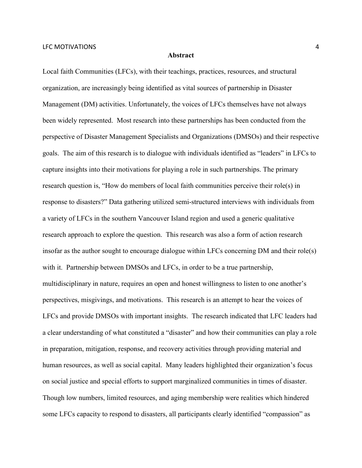### **Abstract**

Local faith Communities (LFCs), with their teachings, practices, resources, and structural organization, are increasingly being identified as vital sources of partnership in Disaster Management (DM) activities. Unfortunately, the voices of LFCs themselves have not always been widely represented. Most research into these partnerships has been conducted from the perspective of Disaster Management Specialists and Organizations (DMSOs) and their respective goals. The aim of this research is to dialogue with individuals identified as "leaders" in LFCs to capture insights into their motivations for playing a role in such partnerships. The primary research question is, "How do members of local faith communities perceive their role(s) in response to disasters?" Data gathering utilized semi-structured interviews with individuals from a variety of LFCs in the southern Vancouver Island region and used a generic qualitative research approach to explore the question. This research was also a form of action research insofar as the author sought to encourage dialogue within LFCs concerning DM and their role(s) with it. Partnership between DMSOs and LFCs, in order to be a true partnership, multidisciplinary in nature, requires an open and honest willingness to listen to one another's perspectives, misgivings, and motivations. This research is an attempt to hear the voices of LFCs and provide DMSOs with important insights. The research indicated that LFC leaders had a clear understanding of what constituted a "disaster" and how their communities can play a role in preparation, mitigation, response, and recovery activities through providing material and human resources, as well as social capital. Many leaders highlighted their organization's focus on social justice and special efforts to support marginalized communities in times of disaster. Though low numbers, limited resources, and aging membership were realities which hindered some LFCs capacity to respond to disasters, all participants clearly identified "compassion" as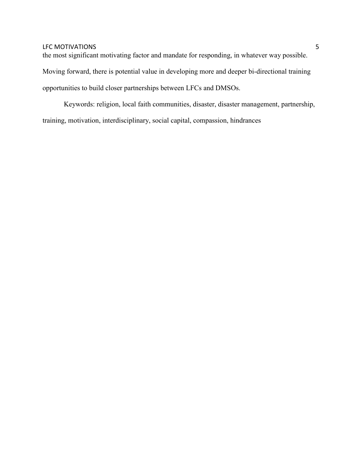the most significant motivating factor and mandate for responding, in whatever way possible. Moving forward, there is potential value in developing more and deeper bi-directional training

opportunities to build closer partnerships between LFCs and DMSOs.

 Keywords: religion, local faith communities, disaster, disaster management, partnership, training, motivation, interdisciplinary, social capital, compassion, hindrances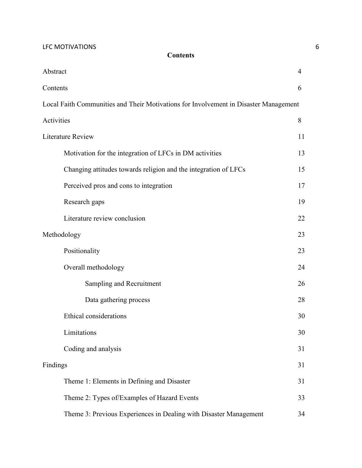**Contents** 

| Abstract                                                                             | 4  |
|--------------------------------------------------------------------------------------|----|
| Contents                                                                             | 6  |
| Local Faith Communities and Their Motivations for Involvement in Disaster Management |    |
| Activities                                                                           | 8  |
| <b>Literature Review</b>                                                             | 11 |
| Motivation for the integration of LFCs in DM activities                              | 13 |
| Changing attitudes towards religion and the integration of LFCs                      | 15 |
| Perceived pros and cons to integration                                               | 17 |
| Research gaps                                                                        | 19 |
| Literature review conclusion                                                         | 22 |
| Methodology                                                                          | 23 |
| Positionality                                                                        | 23 |
| Overall methodology                                                                  | 24 |
| Sampling and Recruitment                                                             | 26 |
| Data gathering process                                                               | 28 |
| <b>Ethical considerations</b>                                                        | 30 |
| Limitations                                                                          | 30 |
| Coding and analysis                                                                  | 31 |
| Findings                                                                             | 31 |
| Theme 1: Elements in Defining and Disaster                                           | 31 |
| Theme 2: Types of/Examples of Hazard Events                                          | 33 |
| Theme 3: Previous Experiences in Dealing with Disaster Management                    | 34 |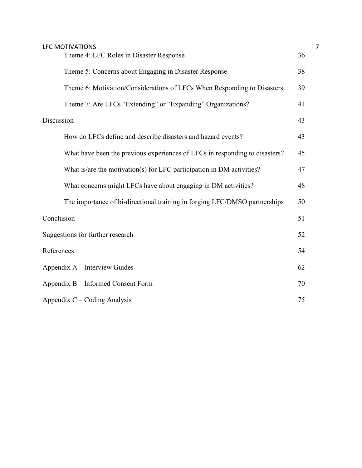| <b>LFC MOTIVATIONS</b>                                                      |    | 7 |
|-----------------------------------------------------------------------------|----|---|
| Theme 4: LFC Roles in Disaster Response                                     | 36 |   |
| Theme 5: Concerns about Engaging in Disaster Response                       | 38 |   |
| Theme 6: Motivation/Considerations of LFCs When Responding to Disasters     | 39 |   |
| Theme 7: Are LFCs "Extending" or "Expanding" Organizations?                 | 41 |   |
| Discussion                                                                  | 43 |   |
| How do LFCs define and describe disasters and hazard events?                | 43 |   |
| What have been the previous experiences of LFCs in responding to disasters? | 45 |   |
| What is/are the motivation(s) for LFC participation in DM activities?       | 47 |   |
| What concerns might LFCs have about engaging in DM activities?              | 48 |   |
| The importance of bi-directional training in forging LFC/DMSO partnerships  | 50 |   |
| Conclusion                                                                  | 51 |   |
| Suggestions for further research                                            | 52 |   |
| References                                                                  | 54 |   |
| Appendix A – Interview Guides                                               | 62 |   |
| Appendix B – Informed Consent Form                                          | 70 |   |
| Appendix $C - Coding$ Analysis                                              |    |   |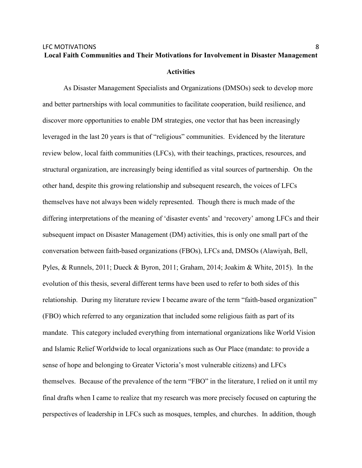# LFC MOTIVATIONS 8 **Local Faith Communities and Their Motivations for Involvement in Disaster Management Activities**

As Disaster Management Specialists and Organizations (DMSOs) seek to develop more and better partnerships with local communities to facilitate cooperation, build resilience, and discover more opportunities to enable DM strategies, one vector that has been increasingly leveraged in the last 20 years is that of "religious" communities. Evidenced by the literature review below, local faith communities (LFCs), with their teachings, practices, resources, and structural organization, are increasingly being identified as vital sources of partnership. On the other hand, despite this growing relationship and subsequent research, the voices of LFCs themselves have not always been widely represented. Though there is much made of the differing interpretations of the meaning of 'disaster events' and 'recovery' among LFCs and their subsequent impact on Disaster Management (DM) activities, this is only one small part of the conversation between faith-based organizations (FBOs), LFCs and, DMSOs (Alawiyah, Bell, Pyles, & Runnels, 2011; Dueck & Byron, 2011; Graham, 2014; Joakim & White, 2015). In the evolution of this thesis, several different terms have been used to refer to both sides of this relationship. During my literature review I became aware of the term "faith-based organization" (FBO) which referred to any organization that included some religious faith as part of its mandate. This category included everything from international organizations like World Vision and Islamic Relief Worldwide to local organizations such as Our Place (mandate: to provide a sense of hope and belonging to Greater Victoria's most vulnerable citizens) and LFCs themselves. Because of the prevalence of the term "FBO" in the literature, I relied on it until my final drafts when I came to realize that my research was more precisely focused on capturing the perspectives of leadership in LFCs such as mosques, temples, and churches. In addition, though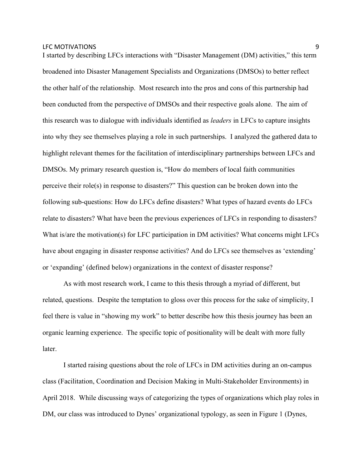I started by describing LFCs interactions with "Disaster Management (DM) activities," this term broadened into Disaster Management Specialists and Organizations (DMSOs) to better reflect the other half of the relationship. Most research into the pros and cons of this partnership had been conducted from the perspective of DMSOs and their respective goals alone. The aim of this research was to dialogue with individuals identified as *leaders* in LFCs to capture insights into why they see themselves playing a role in such partnerships. I analyzed the gathered data to highlight relevant themes for the facilitation of interdisciplinary partnerships between LFCs and DMSOs. My primary research question is, "How do members of local faith communities perceive their role(s) in response to disasters?" This question can be broken down into the following sub-questions: How do LFCs define disasters? What types of hazard events do LFCs relate to disasters? What have been the previous experiences of LFCs in responding to disasters? What is/are the motivation(s) for LFC participation in DM activities? What concerns might LFCs have about engaging in disaster response activities? And do LFCs see themselves as 'extending' or 'expanding' (defined below) organizations in the context of disaster response?

As with most research work, I came to this thesis through a myriad of different, but related, questions. Despite the temptation to gloss over this process for the sake of simplicity, I feel there is value in "showing my work" to better describe how this thesis journey has been an organic learning experience. The specific topic of positionality will be dealt with more fully later.

I started raising questions about the role of LFCs in DM activities during an on-campus class (Facilitation, Coordination and Decision Making in Multi-Stakeholder Environments) in April 2018. While discussing ways of categorizing the types of organizations which play roles in DM, our class was introduced to Dynes' organizational typology, as seen in Figure 1 (Dynes,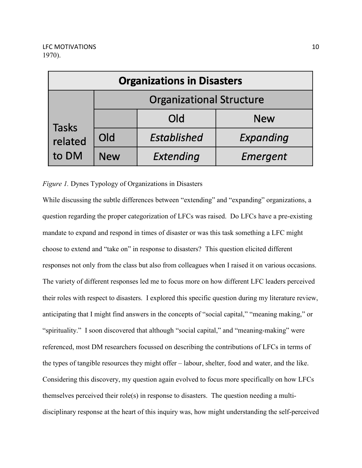| <b>Organizations in Disasters</b> |                                 |                    |            |  |  |
|-----------------------------------|---------------------------------|--------------------|------------|--|--|
|                                   | <b>Organizational Structure</b> |                    |            |  |  |
| <b>Tasks</b><br>related<br>to DM  |                                 | Old                | <b>New</b> |  |  |
|                                   | Old                             | <b>Established</b> | Expanding  |  |  |
|                                   | <b>New</b>                      | Extending          | Emergent   |  |  |

# *Figure 1.* Dynes Typology of Organizations in Disasters

While discussing the subtle differences between "extending" and "expanding" organizations, a question regarding the proper categorization of LFCs was raised. Do LFCs have a pre-existing mandate to expand and respond in times of disaster or was this task something a LFC might choose to extend and "take on" in response to disasters? This question elicited different responses not only from the class but also from colleagues when I raised it on various occasions. The variety of different responses led me to focus more on how different LFC leaders perceived their roles with respect to disasters. I explored this specific question during my literature review, anticipating that I might find answers in the concepts of "social capital," "meaning making," or "spirituality." I soon discovered that although "social capital," and "meaning-making" were referenced, most DM researchers focussed on describing the contributions of LFCs in terms of the types of tangible resources they might offer – labour, shelter, food and water, and the like. Considering this discovery, my question again evolved to focus more specifically on how LFCs themselves perceived their role(s) in response to disasters. The question needing a multidisciplinary response at the heart of this inquiry was, how might understanding the self-perceived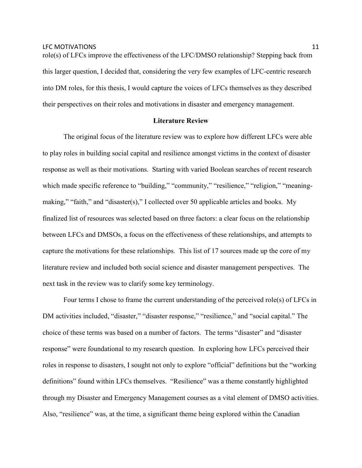LFC MOTIVATIONS 2008 11

role(s) of LFCs improve the effectiveness of the LFC/DMSO relationship? Stepping back from this larger question, I decided that, considering the very few examples of LFC-centric research into DM roles, for this thesis, I would capture the voices of LFCs themselves as they described their perspectives on their roles and motivations in disaster and emergency management.

### **Literature Review**

The original focus of the literature review was to explore how different LFCs were able to play roles in building social capital and resilience amongst victims in the context of disaster response as well as their motivations. Starting with varied Boolean searches of recent research which made specific reference to "building," "community," "resilience," "religion," "meaningmaking," "faith," and "disaster(s)," I collected over 50 applicable articles and books. My finalized list of resources was selected based on three factors: a clear focus on the relationship between LFCs and DMSOs, a focus on the effectiveness of these relationships, and attempts to capture the motivations for these relationships. This list of 17 sources made up the core of my literature review and included both social science and disaster management perspectives. The next task in the review was to clarify some key terminology.

Four terms I chose to frame the current understanding of the perceived role(s) of LFCs in DM activities included, "disaster," "disaster response," "resilience," and "social capital." The choice of these terms was based on a number of factors. The terms "disaster" and "disaster response" were foundational to my research question. In exploring how LFCs perceived their roles in response to disasters, I sought not only to explore "official" definitions but the "working definitions" found within LFCs themselves. "Resilience" was a theme constantly highlighted through my Disaster and Emergency Management courses as a vital element of DMSO activities. Also, "resilience" was, at the time, a significant theme being explored within the Canadian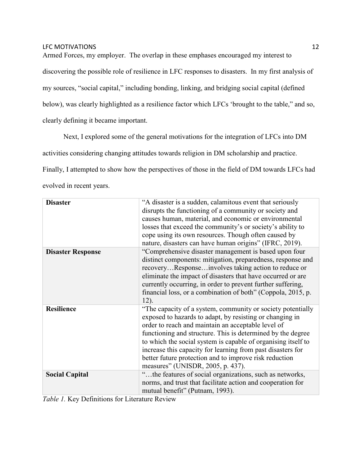Armed Forces, my employer. The overlap in these emphases encouraged my interest to discovering the possible role of resilience in LFC responses to disasters. In my first analysis of my sources, "social capital," including bonding, linking, and bridging social capital (defined below), was clearly highlighted as a resilience factor which LFCs 'brought to the table," and so, clearly defining it became important.

Next, I explored some of the general motivations for the integration of LFCs into DM activities considering changing attitudes towards religion in DM scholarship and practice. Finally, I attempted to show how the perspectives of those in the field of DM towards LFCs had evolved in recent years.

| <b>Disaster</b>          | "A disaster is a sudden, calamitous event that seriously<br>disrupts the functioning of a community or society and<br>causes human, material, and economic or environmental<br>losses that exceed the community's or society's ability to<br>cope using its own resources. Though often caused by<br>nature, disasters can have human origins" (IFRC, 2019).                                                                                                                |
|--------------------------|-----------------------------------------------------------------------------------------------------------------------------------------------------------------------------------------------------------------------------------------------------------------------------------------------------------------------------------------------------------------------------------------------------------------------------------------------------------------------------|
| <b>Disaster Response</b> | "Comprehensive disaster management is based upon four<br>distinct components: mitigation, preparedness, response and<br>recoveryResponseinvolves taking action to reduce or<br>eliminate the impact of disasters that have occurred or are<br>currently occurring, in order to prevent further suffering,<br>financial loss, or a combination of both" (Coppola, 2015, p.<br>$12$ ).                                                                                        |
| <b>Resilience</b>        | "The capacity of a system, community or society potentially<br>exposed to hazards to adapt, by resisting or changing in<br>order to reach and maintain an acceptable level of<br>functioning and structure. This is determined by the degree<br>to which the social system is capable of organising itself to<br>increase this capacity for learning from past disasters for<br>better future protection and to improve risk reduction<br>measures" (UNISDR, 2005, p. 437). |
| <b>Social Capital</b>    | "the features of social organizations, such as networks,<br>norms, and trust that facilitate action and cooperation for<br>mutual benefit" (Putnam, 1993).                                                                                                                                                                                                                                                                                                                  |

*Table 1.* Key Definitions for Literature Review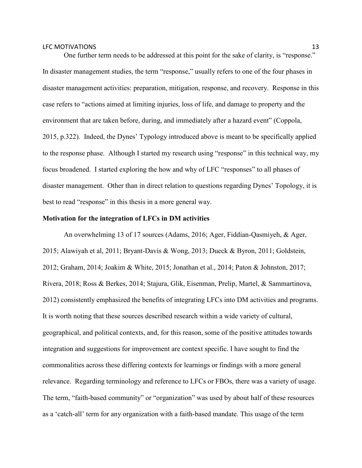One further term needs to be addressed at this point for the sake of clarity, is "response." In disaster management studies, the term "response," usually refers to one of the four phases in disaster management activities: preparation, mitigation, response, and recovery. Response in this case refers to "actions aimed at limiting injuries, loss of life, and damage to property and the environment that are taken before, during, and immediately after a hazard event" (Coppola, 2015, p.322). Indeed, the Dynes' Typology introduced above is meant to be specifically applied to the response phase. Although I started my research using "response" in this technical way, my focus broadened. I started exploring the how and why of LFC "responses" to all phases of disaster management. Other than in direct relation to questions regarding Dynes' Topology, it is best to read "response" in this thesis in a more general way.

### **Motivation for the integration of LFCs in DM activities**

 An overwhelming 13 of 17 sources (Adams, 2016; Ager, Fiddian-Qasmiyeh, & Ager, 2015; Alawiyah et al, 2011; Bryant-Davis & Wong, 2013; Dueck & Byron, 2011; Goldstein, 2012; Graham, 2014; Joakim & White, 2015; Jonathan et al., 2014; Paton & Johnston, 2017; Rivera, 2018; Ross & Berkes, 2014; Stajura, Glik, Eisenman, Prelip, Martel, & Sammartinova, 2012) consistently emphasized the benefits of integrating LFCs into DM activities and programs. It is worth noting that these sources described research within a wide variety of cultural, geographical, and political contexts, and, for this reason, some of the positive attitudes towards integration and suggestions for improvement are context specific. I have sought to find the commonalities across these differing contexts for learnings or findings with a more general relevance. Regarding terminology and reference to LFCs or FBOs, there was a variety of usage. The term, "faith-based community" or "organization" was used by about half of these resources as a 'catch-all' term for any organization with a faith-based mandate. This usage of the term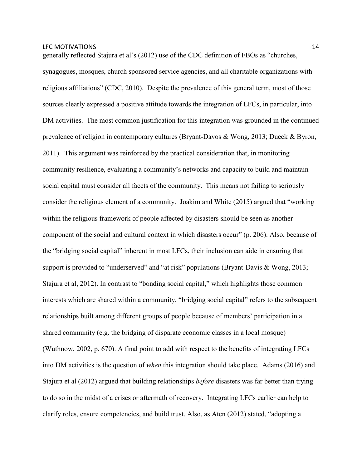generally reflected Stajura et al's (2012) use of the CDC definition of FBOs as "churches, synagogues, mosques, church sponsored service agencies, and all charitable organizations with religious affiliations" (CDC, 2010). Despite the prevalence of this general term, most of those sources clearly expressed a positive attitude towards the integration of LFCs, in particular, into DM activities. The most common justification for this integration was grounded in the continued prevalence of religion in contemporary cultures (Bryant-Davos & Wong, 2013; Dueck & Byron, 2011). This argument was reinforced by the practical consideration that, in monitoring community resilience, evaluating a community's networks and capacity to build and maintain social capital must consider all facets of the community. This means not failing to seriously consider the religious element of a community. Joakim and White (2015) argued that "working within the religious framework of people affected by disasters should be seen as another component of the social and cultural context in which disasters occur" (p. 206). Also, because of the "bridging social capital" inherent in most LFCs, their inclusion can aide in ensuring that support is provided to "underserved" and "at risk" populations (Bryant-Davis & Wong, 2013; Stajura et al, 2012). In contrast to "bonding social capital," which highlights those common interests which are shared within a community, "bridging social capital" refers to the subsequent relationships built among different groups of people because of members' participation in a shared community (e.g. the bridging of disparate economic classes in a local mosque)

(Wuthnow, 2002, p. 670). A final point to add with respect to the benefits of integrating LFCs into DM activities is the question of *when* this integration should take place. Adams (2016) and Stajura et al (2012) argued that building relationships *before* disasters was far better than trying to do so in the midst of a crises or aftermath of recovery. Integrating LFCs earlier can help to clarify roles, ensure competencies, and build trust. Also, as Aten (2012) stated, "adopting a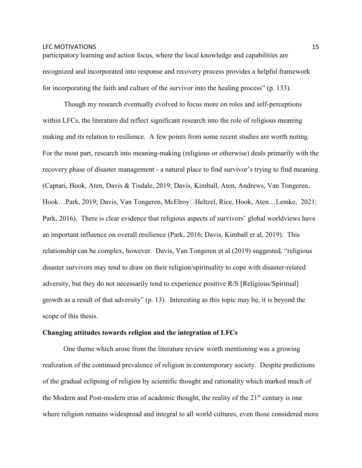participatory learning and action focus, where the local knowledge and capabilities are recognized and incorporated into response and recovery process provides a helpful framework for incorporating the faith and culture of the survivor into the healing process" (p. 133).

 Though my research eventually evolved to focus more on roles and self-perceptions within LFCs, the literature did reflect significant research into the role of religious meaning making and its relation to resilience. A few points from some recent studies are worth noting. For the most part, research into meaning-making (religious or otherwise) deals primarily with the recovery phase of disaster management - a natural place to find survivor's trying to find meaning (Captari, Hook, Aten, Davis & Tisdale, 2019; Davis, Kimball, Aten, Andrews, Van Tongeren, Hook…Park, 2019; Davis, Van Tongeren, McElroy□Heltzel, Rice, Hook, Aten…Lemke, 2021; Park, 2016). There is clear evidence that religious aspects of survivors' global worldviews have an important influence on overall resilience (Park, 2016; Davis, Kimball et al, 2019). This relationship can be complex, however. Davis, Van Tongeren et al (2019) suggested, "religious disaster survivors may tend to draw on their religion/spirituality to cope with disaster-related adversity, but they do not necessarily tend to experience positive R/S [Religious/Spiritual] growth as a result of that adversity" (p. 13). Interesting as this topic may be, it is beyond the scope of this thesis.

### **Changing attitudes towards religion and the integration of LFCs**

One theme which arose from the literature review worth mentioning was a growing realization of the continued prevalence of religion in contemporary society. Despite predictions of the gradual eclipsing of religion by scientific thought and rationality which marked much of the Modern and Post-modern eras of academic thought, the reality of the  $21<sup>st</sup>$  century is one where religion remains widespread and integral to all world cultures, even those considered more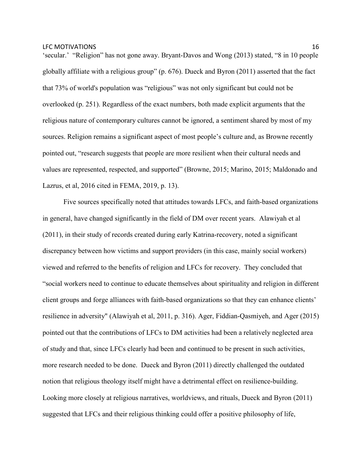'secular.' "Religion" has not gone away. Bryant-Davos and Wong (2013) stated, "8 in 10 people globally affiliate with a religious group" (p. 676). Dueck and Byron (2011) asserted that the fact that 73% of world's population was "religious" was not only significant but could not be overlooked (p. 251). Regardless of the exact numbers, both made explicit arguments that the religious nature of contemporary cultures cannot be ignored, a sentiment shared by most of my sources. Religion remains a significant aspect of most people's culture and, as Browne recently pointed out, "research suggests that people are more resilient when their cultural needs and values are represented, respected, and supported" (Browne, 2015; Marino, 2015; Maldonado and Lazrus, et al, 2016 cited in FEMA, 2019, p. 13).

Five sources specifically noted that attitudes towards LFCs, and faith-based organizations in general, have changed significantly in the field of DM over recent years. Alawiyah et al (2011), in their study of records created during early Katrina-recovery, noted a significant discrepancy between how victims and support providers (in this case, mainly social workers) viewed and referred to the benefits of religion and LFCs for recovery. They concluded that "social workers need to continue to educate themselves about spirituality and religion in different client groups and forge alliances with faith-based organizations so that they can enhance clients' resilience in adversity" (Alawiyah et al, 2011, p. 316). Ager, Fiddian-Qasmiyeh, and Ager (2015) pointed out that the contributions of LFCs to DM activities had been a relatively neglected area of study and that, since LFCs clearly had been and continued to be present in such activities, more research needed to be done. Dueck and Byron (2011) directly challenged the outdated notion that religious theology itself might have a detrimental effect on resilience-building. Looking more closely at religious narratives, worldviews, and rituals, Dueck and Byron (2011) suggested that LFCs and their religious thinking could offer a positive philosophy of life,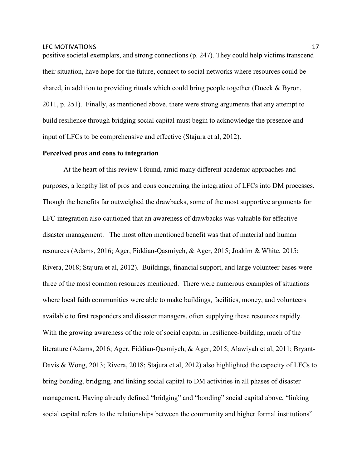positive societal exemplars, and strong connections (p. 247). They could help victims transcend their situation, have hope for the future, connect to social networks where resources could be shared, in addition to providing rituals which could bring people together (Dueck & Byron, 2011, p. 251). Finally, as mentioned above, there were strong arguments that any attempt to build resilience through bridging social capital must begin to acknowledge the presence and input of LFCs to be comprehensive and effective (Stajura et al, 2012).

### **Perceived pros and cons to integration**

At the heart of this review I found, amid many different academic approaches and purposes, a lengthy list of pros and cons concerning the integration of LFCs into DM processes. Though the benefits far outweighed the drawbacks, some of the most supportive arguments for LFC integration also cautioned that an awareness of drawbacks was valuable for effective disaster management. The most often mentioned benefit was that of material and human resources (Adams, 2016; Ager, Fiddian-Qasmiyeh, & Ager, 2015; Joakim & White, 2015; Rivera, 2018; Stajura et al, 2012). Buildings, financial support, and large volunteer bases were three of the most common resources mentioned. There were numerous examples of situations where local faith communities were able to make buildings, facilities, money, and volunteers available to first responders and disaster managers, often supplying these resources rapidly. With the growing awareness of the role of social capital in resilience-building, much of the literature (Adams, 2016; Ager, Fiddian-Qasmiyeh, & Ager, 2015; Alawiyah et al, 2011; Bryant-Davis & Wong, 2013; Rivera, 2018; Stajura et al, 2012) also highlighted the capacity of LFCs to bring bonding, bridging, and linking social capital to DM activities in all phases of disaster management. Having already defined "bridging" and "bonding" social capital above, "linking social capital refers to the relationships between the community and higher formal institutions"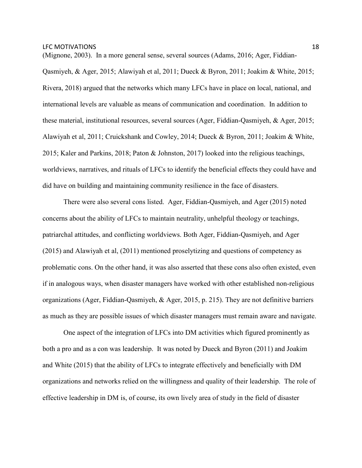Qasmiyeh, & Ager, 2015; Alawiyah et al, 2011; Dueck & Byron, 2011; Joakim & White, 2015; Rivera, 2018) argued that the networks which many LFCs have in place on local, national, and international levels are valuable as means of communication and coordination. In addition to these material, institutional resources, several sources (Ager, Fiddian-Qasmiyeh, & Ager, 2015; Alawiyah et al, 2011; Cruickshank and Cowley, 2014; Dueck & Byron, 2011; Joakim & White, 2015; Kaler and Parkins, 2018; Paton & Johnston, 2017) looked into the religious teachings, worldviews, narratives, and rituals of LFCs to identify the beneficial effects they could have and did have on building and maintaining community resilience in the face of disasters.

(Mignone, 2003). In a more general sense, several sources (Adams, 2016; Ager, Fiddian-

There were also several cons listed. Ager, Fiddian-Qasmiyeh, and Ager (2015) noted concerns about the ability of LFCs to maintain neutrality, unhelpful theology or teachings, patriarchal attitudes, and conflicting worldviews. Both Ager, Fiddian-Qasmiyeh, and Ager (2015) and Alawiyah et al, (2011) mentioned proselytizing and questions of competency as problematic cons. On the other hand, it was also asserted that these cons also often existed, even if in analogous ways, when disaster managers have worked with other established non-religious organizations (Ager, Fiddian-Qasmiyeh, & Ager, 2015, p. 215). They are not definitive barriers as much as they are possible issues of which disaster managers must remain aware and navigate.

One aspect of the integration of LFCs into DM activities which figured prominently as both a pro and as a con was leadership. It was noted by Dueck and Byron (2011) and Joakim and White (2015) that the ability of LFCs to integrate effectively and beneficially with DM organizations and networks relied on the willingness and quality of their leadership. The role of effective leadership in DM is, of course, its own lively area of study in the field of disaster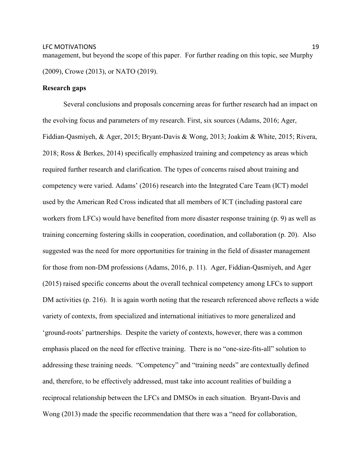management, but beyond the scope of this paper. For further reading on this topic, see Murphy (2009), Crowe (2013), or NATO (2019).

### **Research gaps**

Several conclusions and proposals concerning areas for further research had an impact on the evolving focus and parameters of my research. First, six sources (Adams, 2016; Ager, Fiddian-Qasmiyeh, & Ager, 2015; Bryant-Davis & Wong, 2013; Joakim & White, 2015; Rivera, 2018; Ross & Berkes, 2014) specifically emphasized training and competency as areas which required further research and clarification. The types of concerns raised about training and competency were varied. Adams' (2016) research into the Integrated Care Team (ICT) model used by the American Red Cross indicated that all members of ICT (including pastoral care workers from LFCs) would have benefited from more disaster response training (p. 9) as well as training concerning fostering skills in cooperation, coordination, and collaboration (p. 20). Also suggested was the need for more opportunities for training in the field of disaster management for those from non-DM professions (Adams, 2016, p. 11). Ager, Fiddian-Qasmiyeh, and Ager (2015) raised specific concerns about the overall technical competency among LFCs to support DM activities (p. 216). It is again worth noting that the research referenced above reflects a wide variety of contexts, from specialized and international initiatives to more generalized and 'ground-roots' partnerships. Despite the variety of contexts, however, there was a common emphasis placed on the need for effective training. There is no "one-size-fits-all" solution to addressing these training needs. "Competency" and "training needs" are contextually defined and, therefore, to be effectively addressed, must take into account realities of building a reciprocal relationship between the LFCs and DMSOs in each situation. Bryant-Davis and Wong (2013) made the specific recommendation that there was a "need for collaboration,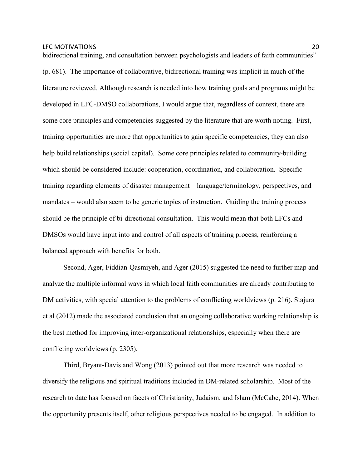bidirectional training, and consultation between psychologists and leaders of faith communities" (p. 681). The importance of collaborative, bidirectional training was implicit in much of the literature reviewed. Although research is needed into how training goals and programs might be developed in LFC-DMSO collaborations, I would argue that, regardless of context, there are some core principles and competencies suggested by the literature that are worth noting. First, training opportunities are more that opportunities to gain specific competencies, they can also help build relationships (social capital). Some core principles related to community-building which should be considered include: cooperation, coordination, and collaboration. Specific training regarding elements of disaster management – language/terminology, perspectives, and mandates – would also seem to be generic topics of instruction. Guiding the training process should be the principle of bi-directional consultation. This would mean that both LFCs and DMSOs would have input into and control of all aspects of training process, reinforcing a balanced approach with benefits for both.

Second, Ager, Fiddian-Qasmiyeh, and Ager (2015) suggested the need to further map and analyze the multiple informal ways in which local faith communities are already contributing to DM activities, with special attention to the problems of conflicting worldviews (p. 216). Stajura et al (2012) made the associated conclusion that an ongoing collaborative working relationship is the best method for improving inter-organizational relationships, especially when there are conflicting worldviews (p. 2305).

Third, Bryant-Davis and Wong (2013) pointed out that more research was needed to diversify the religious and spiritual traditions included in DM-related scholarship. Most of the research to date has focused on facets of Christianity, Judaism, and Islam (McCabe, 2014). When the opportunity presents itself, other religious perspectives needed to be engaged. In addition to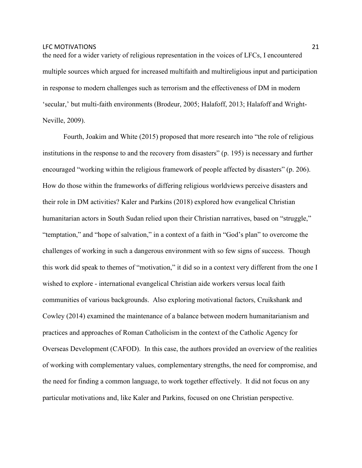the need for a wider variety of religious representation in the voices of LFCs, I encountered multiple sources which argued for increased multifaith and multireligious input and participation in response to modern challenges such as terrorism and the effectiveness of DM in modern 'secular,' but multi-faith environments (Brodeur, 2005; Halafoff, 2013; Halafoff and Wright-Neville, 2009).

Fourth, Joakim and White (2015) proposed that more research into "the role of religious institutions in the response to and the recovery from disasters" (p. 195) is necessary and further encouraged "working within the religious framework of people affected by disasters" (p. 206). How do those within the frameworks of differing religious worldviews perceive disasters and their role in DM activities? Kaler and Parkins (2018) explored how evangelical Christian humanitarian actors in South Sudan relied upon their Christian narratives, based on "struggle," "temptation," and "hope of salvation," in a context of a faith in "God's plan" to overcome the challenges of working in such a dangerous environment with so few signs of success. Though this work did speak to themes of "motivation," it did so in a context very different from the one I wished to explore - international evangelical Christian aide workers versus local faith communities of various backgrounds. Also exploring motivational factors, Cruikshank and Cowley (2014) examined the maintenance of a balance between modern humanitarianism and practices and approaches of Roman Catholicism in the context of the Catholic Agency for Overseas Development (CAFOD). In this case, the authors provided an overview of the realities of working with complementary values, complementary strengths, the need for compromise, and the need for finding a common language, to work together effectively. It did not focus on any particular motivations and, like Kaler and Parkins, focused on one Christian perspective.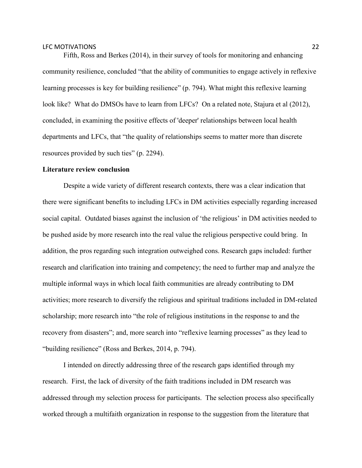Fifth, Ross and Berkes (2014), in their survey of tools for monitoring and enhancing community resilience, concluded "that the ability of communities to engage actively in reflexive learning processes is key for building resilience" (p. 794). What might this reflexive learning look like? What do DMSOs have to learn from LFCs? On a related note, Stajura et al (2012), concluded, in examining the positive effects of 'deeper' relationships between local health departments and LFCs, that "the quality of relationships seems to matter more than discrete resources provided by such ties" (p. 2294).

### **Literature review conclusion**

Despite a wide variety of different research contexts, there was a clear indication that there were significant benefits to including LFCs in DM activities especially regarding increased social capital. Outdated biases against the inclusion of 'the religious' in DM activities needed to be pushed aside by more research into the real value the religious perspective could bring. In addition, the pros regarding such integration outweighed cons. Research gaps included: further research and clarification into training and competency; the need to further map and analyze the multiple informal ways in which local faith communities are already contributing to DM activities; more research to diversify the religious and spiritual traditions included in DM-related scholarship; more research into "the role of religious institutions in the response to and the recovery from disasters"; and, more search into "reflexive learning processes" as they lead to "building resilience" (Ross and Berkes, 2014, p. 794).

I intended on directly addressing three of the research gaps identified through my research. First, the lack of diversity of the faith traditions included in DM research was addressed through my selection process for participants. The selection process also specifically worked through a multifaith organization in response to the suggestion from the literature that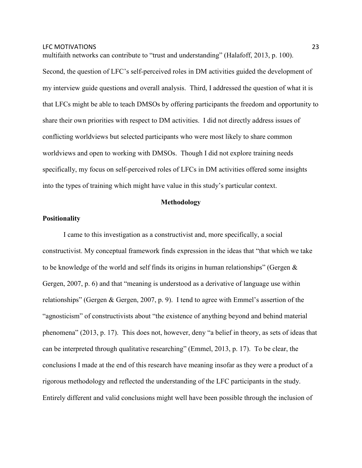Second, the question of LFC's self-perceived roles in DM activities guided the development of my interview guide questions and overall analysis. Third, I addressed the question of what it is that LFCs might be able to teach DMSOs by offering participants the freedom and opportunity to share their own priorities with respect to DM activities. I did not directly address issues of conflicting worldviews but selected participants who were most likely to share common worldviews and open to working with DMSOs. Though I did not explore training needs specifically, my focus on self-perceived roles of LFCs in DM activities offered some insights into the types of training which might have value in this study's particular context.

multifaith networks can contribute to "trust and understanding" (Halafoff, 2013, p. 100).

### **Methodology**

### **Positionality**

I came to this investigation as a constructivist and, more specifically, a social constructivist. My conceptual framework finds expression in the ideas that "that which we take to be knowledge of the world and self finds its origins in human relationships" (Gergen & Gergen, 2007, p. 6) and that "meaning is understood as a derivative of language use within relationships" (Gergen & Gergen, 2007, p. 9). I tend to agree with Emmel's assertion of the "agnosticism" of constructivists about "the existence of anything beyond and behind material phenomena" (2013, p. 17). This does not, however, deny "a belief in theory, as sets of ideas that can be interpreted through qualitative researching" (Emmel, 2013, p. 17). To be clear, the conclusions I made at the end of this research have meaning insofar as they were a product of a rigorous methodology and reflected the understanding of the LFC participants in the study. Entirely different and valid conclusions might well have been possible through the inclusion of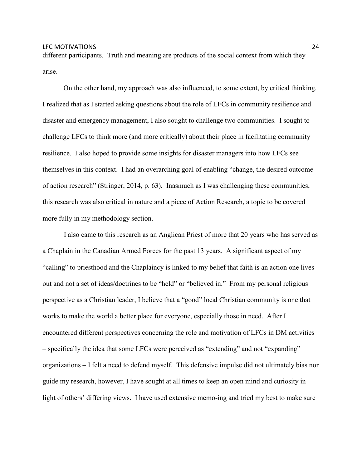different participants. Truth and meaning are products of the social context from which they arise.

On the other hand, my approach was also influenced, to some extent, by critical thinking. I realized that as I started asking questions about the role of LFCs in community resilience and disaster and emergency management, I also sought to challenge two communities. I sought to challenge LFCs to think more (and more critically) about their place in facilitating community resilience. I also hoped to provide some insights for disaster managers into how LFCs see themselves in this context. I had an overarching goal of enabling "change, the desired outcome of action research" (Stringer, 2014, p. 63). Inasmuch as I was challenging these communities, this research was also critical in nature and a piece of Action Research, a topic to be covered more fully in my methodology section.

 I also came to this research as an Anglican Priest of more that 20 years who has served as a Chaplain in the Canadian Armed Forces for the past 13 years. A significant aspect of my "calling" to priesthood and the Chaplaincy is linked to my belief that faith is an action one lives out and not a set of ideas/doctrines to be "held" or "believed in." From my personal religious perspective as a Christian leader, I believe that a "good" local Christian community is one that works to make the world a better place for everyone, especially those in need. After I encountered different perspectives concerning the role and motivation of LFCs in DM activities – specifically the idea that some LFCs were perceived as "extending" and not "expanding" organizations – I felt a need to defend myself. This defensive impulse did not ultimately bias nor guide my research, however, I have sought at all times to keep an open mind and curiosity in light of others' differing views. I have used extensive memo-ing and tried my best to make sure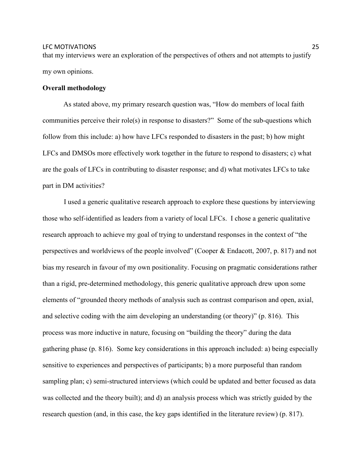that my interviews were an exploration of the perspectives of others and not attempts to justify my own opinions.

### **Overall methodology**

As stated above, my primary research question was, "How do members of local faith communities perceive their role(s) in response to disasters?" Some of the sub-questions which follow from this include: a) how have LFCs responded to disasters in the past; b) how might LFCs and DMSOs more effectively work together in the future to respond to disasters; c) what are the goals of LFCs in contributing to disaster response; and d) what motivates LFCs to take part in DM activities?

 I used a generic qualitative research approach to explore these questions by interviewing those who self-identified as leaders from a variety of local LFCs. I chose a generic qualitative research approach to achieve my goal of trying to understand responses in the context of "the perspectives and worldviews of the people involved" (Cooper & Endacott, 2007, p. 817) and not bias my research in favour of my own positionality. Focusing on pragmatic considerations rather than a rigid, pre-determined methodology, this generic qualitative approach drew upon some elements of "grounded theory methods of analysis such as contrast comparison and open, axial, and selective coding with the aim developing an understanding (or theory)" (p. 816). This process was more inductive in nature, focusing on "building the theory" during the data gathering phase (p. 816). Some key considerations in this approach included: a) being especially sensitive to experiences and perspectives of participants; b) a more purposeful than random sampling plan; c) semi-structured interviews (which could be updated and better focused as data was collected and the theory built); and d) an analysis process which was strictly guided by the research question (and, in this case, the key gaps identified in the literature review) (p. 817).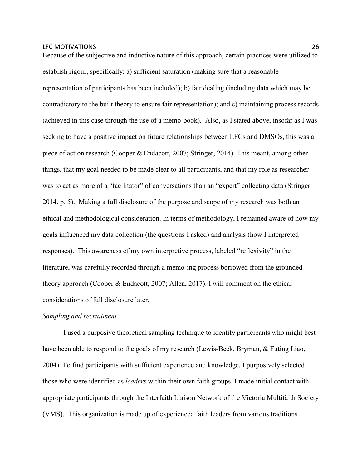Because of the subjective and inductive nature of this approach, certain practices were utilized to establish rigour, specifically: a) sufficient saturation (making sure that a reasonable representation of participants has been included); b) fair dealing (including data which may be contradictory to the built theory to ensure fair representation); and c) maintaining process records (achieved in this case through the use of a memo-book). Also, as I stated above, insofar as I was seeking to have a positive impact on future relationships between LFCs and DMSOs, this was a piece of action research (Cooper & Endacott, 2007; Stringer, 2014). This meant, among other things, that my goal needed to be made clear to all participants, and that my role as researcher was to act as more of a "facilitator" of conversations than an "expert" collecting data (Stringer, 2014, p. 5). Making a full disclosure of the purpose and scope of my research was both an ethical and methodological consideration. In terms of methodology, I remained aware of how my goals influenced my data collection (the questions I asked) and analysis (how I interpreted responses). This awareness of my own interpretive process, labeled "reflexivity" in the literature, was carefully recorded through a memo-ing process borrowed from the grounded theory approach (Cooper & Endacott, 2007; Allen, 2017). I will comment on the ethical considerations of full disclosure later.

### *Sampling and recruitment*

I used a purposive theoretical sampling technique to identify participants who might best have been able to respond to the goals of my research (Lewis-Beck, Bryman, & Futing Liao, 2004). To find participants with sufficient experience and knowledge, I purposively selected those who were identified as *leaders* within their own faith groups. I made initial contact with appropriate participants through the Interfaith Liaison Network of the Victoria Multifaith Society (VMS). This organization is made up of experienced faith leaders from various traditions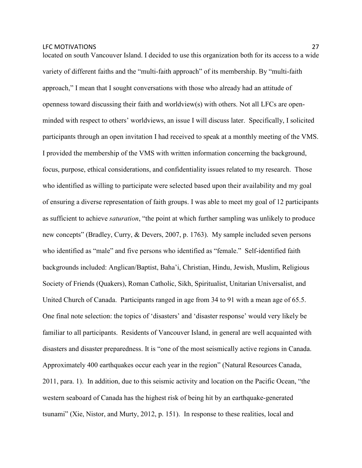located on south Vancouver Island. I decided to use this organization both for its access to a wide variety of different faiths and the "multi-faith approach" of its membership. By "multi-faith approach," I mean that I sought conversations with those who already had an attitude of openness toward discussing their faith and worldview(s) with others. Not all LFCs are openminded with respect to others' worldviews, an issue I will discuss later. Specifically, I solicited participants through an open invitation I had received to speak at a monthly meeting of the VMS. I provided the membership of the VMS with written information concerning the background, focus, purpose, ethical considerations, and confidentiality issues related to my research. Those who identified as willing to participate were selected based upon their availability and my goal of ensuring a diverse representation of faith groups. I was able to meet my goal of 12 participants as sufficient to achieve *saturation*, "the point at which further sampling was unlikely to produce new concepts" (Bradley, Curry, & Devers, 2007, p. 1763). My sample included seven persons who identified as "male" and five persons who identified as "female." Self-identified faith backgrounds included: Anglican/Baptist, Baha'i, Christian, Hindu, Jewish, Muslim, Religious Society of Friends (Quakers), Roman Catholic, Sikh, Spiritualist, Unitarian Universalist, and United Church of Canada. Participants ranged in age from 34 to 91 with a mean age of 65.5. One final note selection: the topics of 'disasters' and 'disaster response' would very likely be familiar to all participants. Residents of Vancouver Island, in general are well acquainted with disasters and disaster preparedness. It is "one of the most seismically active regions in Canada. Approximately 400 earthquakes occur each year in the region" (Natural Resources Canada, 2011, para. 1). In addition, due to this seismic activity and location on the Pacific Ocean, "the western seaboard of Canada has the highest risk of being hit by an earthquake-generated tsunami" (Xie, Nistor, and Murty, 2012, p. 151). In response to these realities, local and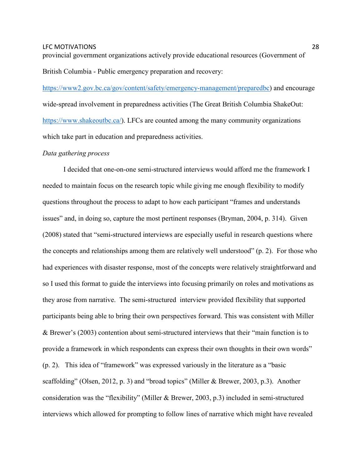provincial government organizations actively provide educational resources (Government of

British Columbia - Public emergency preparation and recovery:

https://www2.gov.bc.ca/gov/content/safety/emergency-management/preparedbc) and encourage wide-spread involvement in preparedness activities (The Great British Columbia ShakeOut: https://www.shakeoutbc.ca/). LFCs are counted among the many community organizations which take part in education and preparedness activities.

### *Data gathering process*

I decided that one-on-one semi-structured interviews would afford me the framework I needed to maintain focus on the research topic while giving me enough flexibility to modify questions throughout the process to adapt to how each participant "frames and understands issues" and, in doing so, capture the most pertinent responses (Bryman, 2004, p. 314). Given (2008) stated that "semi-structured interviews are especially useful in research questions where the concepts and relationships among them are relatively well understood" (p. 2). For those who had experiences with disaster response, most of the concepts were relatively straightforward and so I used this format to guide the interviews into focusing primarily on roles and motivations as they arose from narrative. The semi-structured interview provided flexibility that supported participants being able to bring their own perspectives forward. This was consistent with Miller & Brewer's (2003) contention about semi-structured interviews that their "main function is to provide a framework in which respondents can express their own thoughts in their own words" (p. 2). This idea of "framework" was expressed variously in the literature as a "basic scaffolding" (Olsen, 2012, p. 3) and "broad topics" (Miller & Brewer, 2003, p.3). Another consideration was the "flexibility" (Miller & Brewer, 2003, p.3) included in semi-structured interviews which allowed for prompting to follow lines of narrative which might have revealed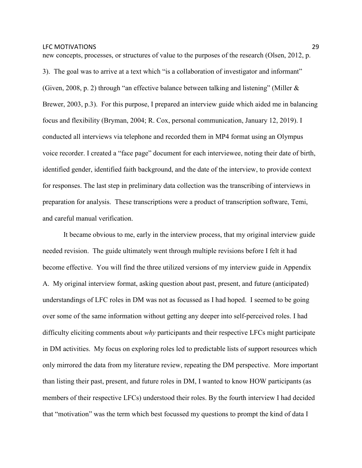new concepts, processes, or structures of value to the purposes of the research (Olsen, 2012, p.

3). The goal was to arrive at a text which "is a collaboration of investigator and informant" (Given, 2008, p. 2) through "an effective balance between talking and listening" (Miller & Brewer, 2003, p.3). For this purpose, I prepared an interview guide which aided me in balancing focus and flexibility (Bryman, 2004; R. Cox, personal communication, January 12, 2019). I conducted all interviews via telephone and recorded them in MP4 format using an Olympus voice recorder. I created a "face page" document for each interviewee, noting their date of birth, identified gender, identified faith background, and the date of the interview, to provide context for responses. The last step in preliminary data collection was the transcribing of interviews in preparation for analysis. These transcriptions were a product of transcription software, Temi, and careful manual verification.

It became obvious to me, early in the interview process, that my original interview guide needed revision. The guide ultimately went through multiple revisions before I felt it had become effective. You will find the three utilized versions of my interview guide in Appendix A. My original interview format, asking question about past, present, and future (anticipated) understandings of LFC roles in DM was not as focussed as I had hoped. I seemed to be going over some of the same information without getting any deeper into self-perceived roles. I had difficulty eliciting comments about *why* participants and their respective LFCs might participate in DM activities. My focus on exploring roles led to predictable lists of support resources which only mirrored the data from my literature review, repeating the DM perspective. More important than listing their past, present, and future roles in DM, I wanted to know HOW participants (as members of their respective LFCs) understood their roles. By the fourth interview I had decided that "motivation" was the term which best focussed my questions to prompt the kind of data I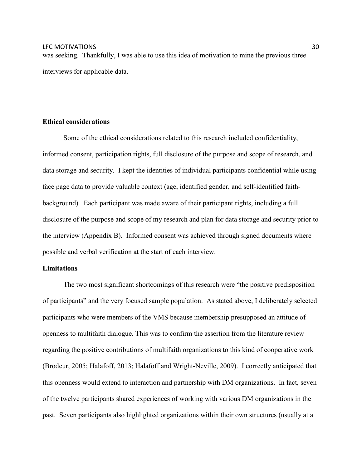was seeking. Thankfully, I was able to use this idea of motivation to mine the previous three interviews for applicable data.

### **Ethical considerations**

Some of the ethical considerations related to this research included confidentiality, informed consent, participation rights, full disclosure of the purpose and scope of research, and data storage and security. I kept the identities of individual participants confidential while using face page data to provide valuable context (age, identified gender, and self-identified faithbackground). Each participant was made aware of their participant rights, including a full disclosure of the purpose and scope of my research and plan for data storage and security prior to the interview (Appendix B). Informed consent was achieved through signed documents where possible and verbal verification at the start of each interview.

### **Limitations**

The two most significant shortcomings of this research were "the positive predisposition of participants" and the very focused sample population. As stated above, I deliberately selected participants who were members of the VMS because membership presupposed an attitude of openness to multifaith dialogue. This was to confirm the assertion from the literature review regarding the positive contributions of multifaith organizations to this kind of cooperative work (Brodeur, 2005; Halafoff, 2013; Halafoff and Wright-Neville, 2009). I correctly anticipated that this openness would extend to interaction and partnership with DM organizations. In fact, seven of the twelve participants shared experiences of working with various DM organizations in the past. Seven participants also highlighted organizations within their own structures (usually at a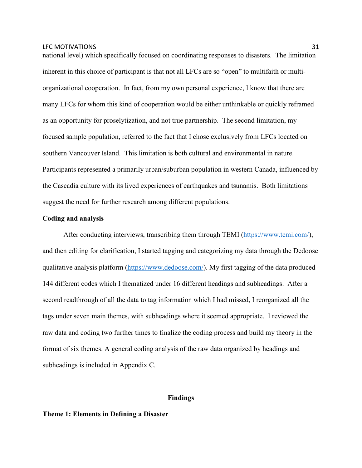national level) which specifically focused on coordinating responses to disasters. The limitation inherent in this choice of participant is that not all LFCs are so "open" to multifaith or multiorganizational cooperation. In fact, from my own personal experience, I know that there are many LFCs for whom this kind of cooperation would be either unthinkable or quickly reframed as an opportunity for proselytization, and not true partnership. The second limitation, my focused sample population, referred to the fact that I chose exclusively from LFCs located on southern Vancouver Island. This limitation is both cultural and environmental in nature. Participants represented a primarily urban/suburban population in western Canada, influenced by the Cascadia culture with its lived experiences of earthquakes and tsunamis. Both limitations suggest the need for further research among different populations.

### **Coding and analysis**

After conducting interviews, transcribing them through TEMI (https://www.temi.com/), and then editing for clarification, I started tagging and categorizing my data through the Dedoose qualitative analysis platform (https://www.dedoose.com/). My first tagging of the data produced 144 different codes which I thematized under 16 different headings and subheadings. After a second readthrough of all the data to tag information which I had missed, I reorganized all the tags under seven main themes, with subheadings where it seemed appropriate. I reviewed the raw data and coding two further times to finalize the coding process and build my theory in the format of six themes. A general coding analysis of the raw data organized by headings and subheadings is included in Appendix C.

### **Findings**

### **Theme 1: Elements in Defining a Disaster**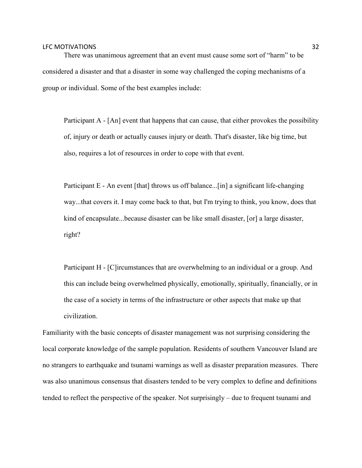There was unanimous agreement that an event must cause some sort of "harm" to be considered a disaster and that a disaster in some way challenged the coping mechanisms of a group or individual. Some of the best examples include:

Participant A - [An] event that happens that can cause, that either provokes the possibility of, injury or death or actually causes injury or death. That's disaster, like big time, but also, requires a lot of resources in order to cope with that event.

Participant E - An event [that] throws us off balance...[in] a significant life-changing way...that covers it. I may come back to that, but I'm trying to think, you know, does that kind of encapsulate...because disaster can be like small disaster, [or] a large disaster, right?

Participant H - [C]ircumstances that are overwhelming to an individual or a group. And this can include being overwhelmed physically, emotionally, spiritually, financially, or in the case of a society in terms of the infrastructure or other aspects that make up that civilization.

Familiarity with the basic concepts of disaster management was not surprising considering the local corporate knowledge of the sample population. Residents of southern Vancouver Island are no strangers to earthquake and tsunami warnings as well as disaster preparation measures. There was also unanimous consensus that disasters tended to be very complex to define and definitions tended to reflect the perspective of the speaker. Not surprisingly – due to frequent tsunami and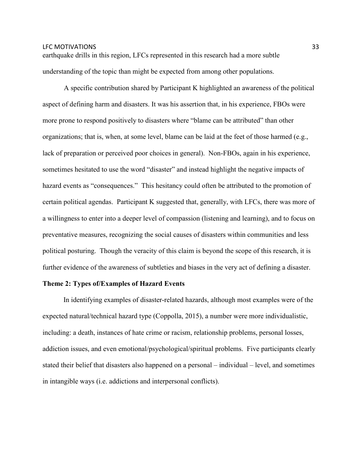earthquake drills in this region, LFCs represented in this research had a more subtle understanding of the topic than might be expected from among other populations.

A specific contribution shared by Participant K highlighted an awareness of the political aspect of defining harm and disasters. It was his assertion that, in his experience, FBOs were more prone to respond positively to disasters where "blame can be attributed" than other organizations; that is, when, at some level, blame can be laid at the feet of those harmed (e.g., lack of preparation or perceived poor choices in general). Non-FBOs, again in his experience, sometimes hesitated to use the word "disaster" and instead highlight the negative impacts of hazard events as "consequences." This hesitancy could often be attributed to the promotion of certain political agendas. Participant K suggested that, generally, with LFCs, there was more of a willingness to enter into a deeper level of compassion (listening and learning), and to focus on preventative measures, recognizing the social causes of disasters within communities and less political posturing. Though the veracity of this claim is beyond the scope of this research, it is further evidence of the awareness of subtleties and biases in the very act of defining a disaster.

### **Theme 2: Types of/Examples of Hazard Events**

In identifying examples of disaster-related hazards, although most examples were of the expected natural/technical hazard type (Coppolla, 2015), a number were more individualistic, including: a death, instances of hate crime or racism, relationship problems, personal losses, addiction issues, and even emotional/psychological/spiritual problems. Five participants clearly stated their belief that disasters also happened on a personal – individual – level, and sometimes in intangible ways (i.e. addictions and interpersonal conflicts).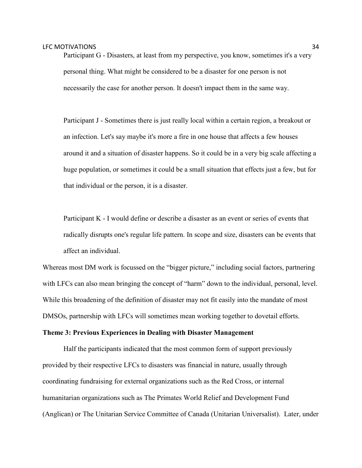Participant G - Disasters, at least from my perspective, you know, sometimes it's a very personal thing. What might be considered to be a disaster for one person is not necessarily the case for another person. It doesn't impact them in the same way.

Participant J - Sometimes there is just really local within a certain region, a breakout or an infection. Let's say maybe it's more a fire in one house that affects a few houses around it and a situation of disaster happens. So it could be in a very big scale affecting a huge population, or sometimes it could be a small situation that effects just a few, but for that individual or the person, it is a disaster.

Participant K - I would define or describe a disaster as an event or series of events that radically disrupts one's regular life pattern. In scope and size, disasters can be events that affect an individual.

Whereas most DM work is focussed on the "bigger picture," including social factors, partnering with LFCs can also mean bringing the concept of "harm" down to the individual, personal, level. While this broadening of the definition of disaster may not fit easily into the mandate of most DMSOs, partnership with LFCs will sometimes mean working together to dovetail efforts.

### **Theme 3: Previous Experiences in Dealing with Disaster Management**

Half the participants indicated that the most common form of support previously provided by their respective LFCs to disasters was financial in nature, usually through coordinating fundraising for external organizations such as the Red Cross, or internal humanitarian organizations such as The Primates World Relief and Development Fund (Anglican) or The Unitarian Service Committee of Canada (Unitarian Universalist). Later, under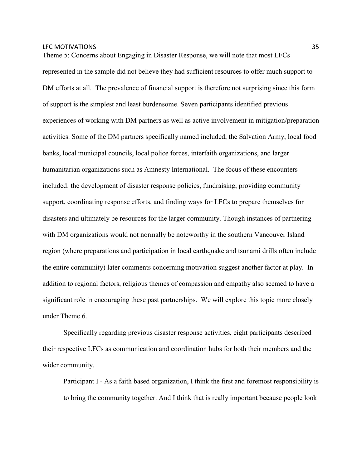Theme 5: Concerns about Engaging in Disaster Response, we will note that most LFCs represented in the sample did not believe they had sufficient resources to offer much support to DM efforts at all. The prevalence of financial support is therefore not surprising since this form of support is the simplest and least burdensome. Seven participants identified previous experiences of working with DM partners as well as active involvement in mitigation/preparation activities. Some of the DM partners specifically named included, the Salvation Army, local food banks, local municipal councils, local police forces, interfaith organizations, and larger humanitarian organizations such as Amnesty International. The focus of these encounters included: the development of disaster response policies, fundraising, providing community support, coordinating response efforts, and finding ways for LFCs to prepare themselves for disasters and ultimately be resources for the larger community. Though instances of partnering with DM organizations would not normally be noteworthy in the southern Vancouver Island region (where preparations and participation in local earthquake and tsunami drills often include the entire community) later comments concerning motivation suggest another factor at play. In addition to regional factors, religious themes of compassion and empathy also seemed to have a significant role in encouraging these past partnerships. We will explore this topic more closely under Theme 6.

Specifically regarding previous disaster response activities, eight participants described their respective LFCs as communication and coordination hubs for both their members and the wider community.

Participant I - As a faith based organization, I think the first and foremost responsibility is to bring the community together. And I think that is really important because people look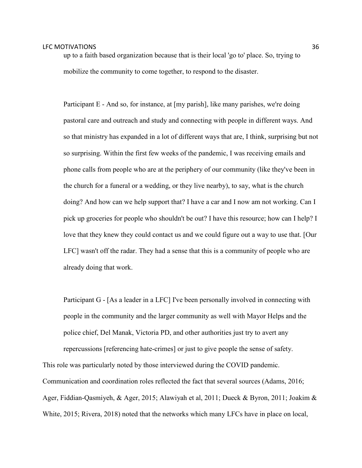up to a faith based organization because that is their local 'go to' place. So, trying to mobilize the community to come together, to respond to the disaster.

Participant E - And so, for instance, at [my parish], like many parishes, we're doing pastoral care and outreach and study and connecting with people in different ways. And so that ministry has expanded in a lot of different ways that are, I think, surprising but not so surprising. Within the first few weeks of the pandemic, I was receiving emails and phone calls from people who are at the periphery of our community (like they've been in the church for a funeral or a wedding, or they live nearby), to say, what is the church doing? And how can we help support that? I have a car and I now am not working. Can I pick up groceries for people who shouldn't be out? I have this resource; how can I help? I love that they knew they could contact us and we could figure out a way to use that. [Our LFC] wasn't off the radar. They had a sense that this is a community of people who are already doing that work.

Participant G - [As a leader in a LFC] I've been personally involved in connecting with people in the community and the larger community as well with Mayor Helps and the police chief, Del Manak, Victoria PD, and other authorities just try to avert any repercussions [referencing hate-crimes] or just to give people the sense of safety.

This role was particularly noted by those interviewed during the COVID pandemic. Communication and coordination roles reflected the fact that several sources (Adams, 2016; Ager, Fiddian-Qasmiyeh, & Ager, 2015; Alawiyah et al, 2011; Dueck & Byron, 2011; Joakim & White, 2015; Rivera, 2018) noted that the networks which many LFCs have in place on local,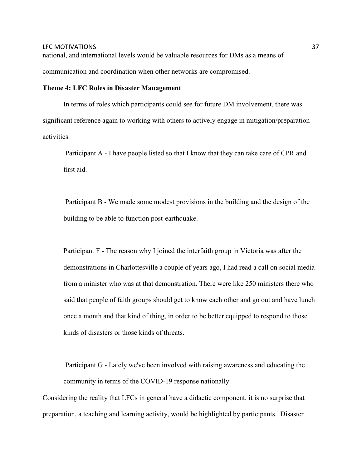# **Theme 4: LFC Roles in Disaster Management**

In terms of roles which participants could see for future DM involvement, there was significant reference again to working with others to actively engage in mitigation/preparation activities.

 Participant A - I have people listed so that I know that they can take care of CPR and first aid.

 Participant B - We made some modest provisions in the building and the design of the building to be able to function post-earthquake.

Participant F - The reason why I joined the interfaith group in Victoria was after the demonstrations in Charlottesville a couple of years ago, I had read a call on social media from a minister who was at that demonstration. There were like 250 ministers there who said that people of faith groups should get to know each other and go out and have lunch once a month and that kind of thing, in order to be better equipped to respond to those kinds of disasters or those kinds of threats.

 Participant G - Lately we've been involved with raising awareness and educating the community in terms of the COVID-19 response nationally.

Considering the reality that LFCs in general have a didactic component, it is no surprise that preparation, a teaching and learning activity, would be highlighted by participants. Disaster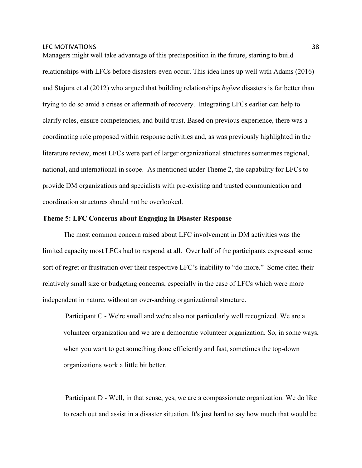Managers might well take advantage of this predisposition in the future, starting to build relationships with LFCs before disasters even occur. This idea lines up well with Adams (2016) and Stajura et al (2012) who argued that building relationships *before* disasters is far better than trying to do so amid a crises or aftermath of recovery. Integrating LFCs earlier can help to clarify roles, ensure competencies, and build trust. Based on previous experience, there was a coordinating role proposed within response activities and, as was previously highlighted in the literature review, most LFCs were part of larger organizational structures sometimes regional, national, and international in scope. As mentioned under Theme 2, the capability for LFCs to provide DM organizations and specialists with pre-existing and trusted communication and coordination structures should not be overlooked.

## **Theme 5: LFC Concerns about Engaging in Disaster Response**

The most common concern raised about LFC involvement in DM activities was the limited capacity most LFCs had to respond at all. Over half of the participants expressed some sort of regret or frustration over their respective LFC's inability to "do more." Some cited their relatively small size or budgeting concerns, especially in the case of LFCs which were more independent in nature, without an over-arching organizational structure.

 Participant C - We're small and we're also not particularly well recognized. We are a volunteer organization and we are a democratic volunteer organization. So, in some ways, when you want to get something done efficiently and fast, sometimes the top-down organizations work a little bit better.

 Participant D - Well, in that sense, yes, we are a compassionate organization. We do like to reach out and assist in a disaster situation. It's just hard to say how much that would be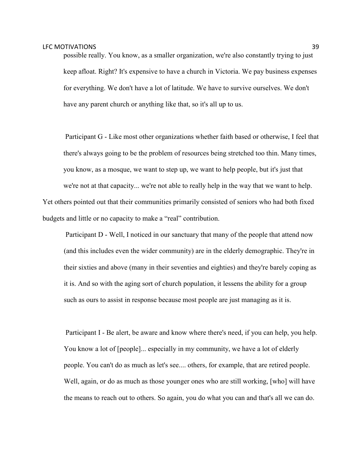possible really. You know, as a smaller organization, we're also constantly trying to just keep afloat. Right? It's expensive to have a church in Victoria. We pay business expenses for everything. We don't have a lot of latitude. We have to survive ourselves. We don't have any parent church or anything like that, so it's all up to us.

 Participant G - Like most other organizations whether faith based or otherwise, I feel that there's always going to be the problem of resources being stretched too thin. Many times, you know, as a mosque, we want to step up, we want to help people, but it's just that we're not at that capacity... we're not able to really help in the way that we want to help. Yet others pointed out that their communities primarily consisted of seniors who had both fixed budgets and little or no capacity to make a "real" contribution.

 Participant D - Well, I noticed in our sanctuary that many of the people that attend now (and this includes even the wider community) are in the elderly demographic. They're in their sixties and above (many in their seventies and eighties) and they're barely coping as it is. And so with the aging sort of church population, it lessens the ability for a group such as ours to assist in response because most people are just managing as it is.

 Participant I - Be alert, be aware and know where there's need, if you can help, you help. You know a lot of [people]... especially in my community, we have a lot of elderly people. You can't do as much as let's see.... others, for example, that are retired people. Well, again, or do as much as those younger ones who are still working, [who] will have the means to reach out to others. So again, you do what you can and that's all we can do.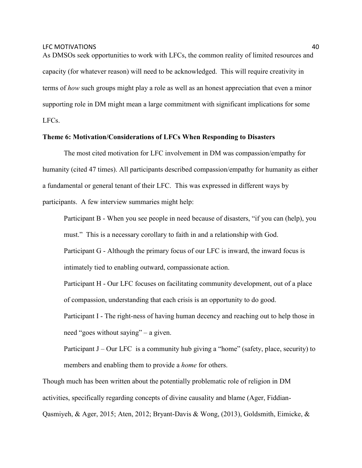As DMSOs seek opportunities to work with LFCs, the common reality of limited resources and capacity (for whatever reason) will need to be acknowledged. This will require creativity in terms of *how* such groups might play a role as well as an honest appreciation that even a minor supporting role in DM might mean a large commitment with significant implications for some LFCs.

# **Theme 6: Motivation/Considerations of LFCs When Responding to Disasters**

The most cited motivation for LFC involvement in DM was compassion/empathy for humanity (cited 47 times). All participants described compassion/empathy for humanity as either a fundamental or general tenant of their LFC. This was expressed in different ways by participants. A few interview summaries might help:

Participant B - When you see people in need because of disasters, "if you can (help), you must." This is a necessary corollary to faith in and a relationship with God.

Participant G - Although the primary focus of our LFC is inward, the inward focus is intimately tied to enabling outward, compassionate action.

Participant H - Our LFC focuses on facilitating community development, out of a place of compassion, understanding that each crisis is an opportunity to do good.

Participant I - The right-ness of having human decency and reaching out to help those in need "goes without saying" – a given.

Participant  $J - Our$  LFC is a community hub giving a "home" (safety, place, security) to members and enabling them to provide a *home* for others.

Though much has been written about the potentially problematic role of religion in DM activities, specifically regarding concepts of divine causality and blame (Ager, Fiddian-Qasmiyeh, & Ager, 2015; Aten, 2012; Bryant-Davis & Wong, (2013), Goldsmith, Eimicke, &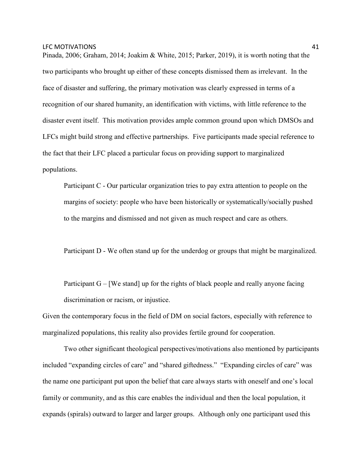Pinada, 2006; Graham, 2014; Joakim & White, 2015; Parker, 2019), it is worth noting that the two participants who brought up either of these concepts dismissed them as irrelevant. In the face of disaster and suffering, the primary motivation was clearly expressed in terms of a recognition of our shared humanity, an identification with victims, with little reference to the disaster event itself. This motivation provides ample common ground upon which DMSOs and LFCs might build strong and effective partnerships. Five participants made special reference to the fact that their LFC placed a particular focus on providing support to marginalized populations.

Participant C - Our particular organization tries to pay extra attention to people on the margins of society: people who have been historically or systematically/socially pushed to the margins and dismissed and not given as much respect and care as others.

Participant D - We often stand up for the underdog or groups that might be marginalized.

Participant  $G - [We stand]$  up for the rights of black people and really anyone facing discrimination or racism, or injustice.

Given the contemporary focus in the field of DM on social factors, especially with reference to marginalized populations, this reality also provides fertile ground for cooperation.

Two other significant theological perspectives/motivations also mentioned by participants included "expanding circles of care" and "shared giftedness." "Expanding circles of care" was the name one participant put upon the belief that care always starts with oneself and one's local family or community, and as this care enables the individual and then the local population, it expands (spirals) outward to larger and larger groups. Although only one participant used this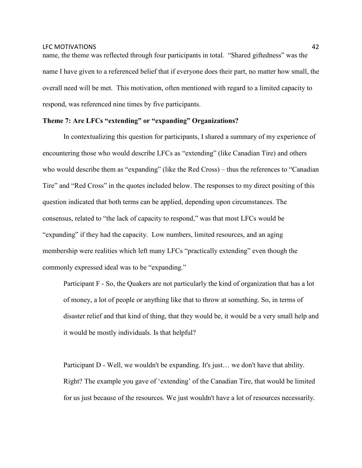name, the theme was reflected through four participants in total. "Shared giftedness" was the name I have given to a referenced belief that if everyone does their part, no matter how small, the overall need will be met. This motivation, often mentioned with regard to a limited capacity to respond, was referenced nine times by five participants.

# **Theme 7: Are LFCs "extending" or "expanding" Organizations?**

In contextualizing this question for participants, I shared a summary of my experience of encountering those who would describe LFCs as "extending" (like Canadian Tire) and others who would describe them as "expanding" (like the Red Cross) – thus the references to "Canadian Tire" and "Red Cross" in the quotes included below. The responses to my direct positing of this question indicated that both terms can be applied, depending upon circumstances. The consensus, related to "the lack of capacity to respond," was that most LFCs would be "expanding" if they had the capacity. Low numbers, limited resources, and an aging membership were realities which left many LFCs "practically extending" even though the commonly expressed ideal was to be "expanding."

Participant F - So, the Quakers are not particularly the kind of organization that has a lot of money, a lot of people or anything like that to throw at something. So, in terms of disaster relief and that kind of thing, that they would be, it would be a very small help and it would be mostly individuals. Is that helpful?

Participant D - Well, we wouldn't be expanding. It's just… we don't have that ability. Right? The example you gave of 'extending' of the Canadian Tire, that would be limited for us just because of the resources. We just wouldn't have a lot of resources necessarily.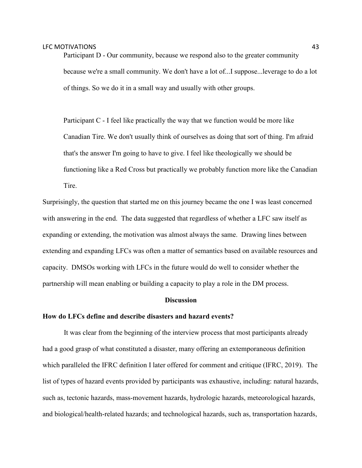Participant D - Our community, because we respond also to the greater community because we're a small community. We don't have a lot of...I suppose...leverage to do a lot of things. So we do it in a small way and usually with other groups.

Participant C - I feel like practically the way that we function would be more like Canadian Tire. We don't usually think of ourselves as doing that sort of thing. I'm afraid that's the answer I'm going to have to give. I feel like theologically we should be functioning like a Red Cross but practically we probably function more like the Canadian Tire.

Surprisingly, the question that started me on this journey became the one I was least concerned with answering in the end. The data suggested that regardless of whether a LFC saw itself as expanding or extending, the motivation was almost always the same. Drawing lines between extending and expanding LFCs was often a matter of semantics based on available resources and capacity. DMSOs working with LFCs in the future would do well to consider whether the partnership will mean enabling or building a capacity to play a role in the DM process.

### **Discussion**

### **How do LFCs define and describe disasters and hazard events?**

It was clear from the beginning of the interview process that most participants already had a good grasp of what constituted a disaster, many offering an extemporaneous definition which paralleled the IFRC definition I later offered for comment and critique (IFRC, 2019). The list of types of hazard events provided by participants was exhaustive, including: natural hazards, such as, tectonic hazards, mass-movement hazards, hydrologic hazards, meteorological hazards, and biological/health-related hazards; and technological hazards, such as, transportation hazards,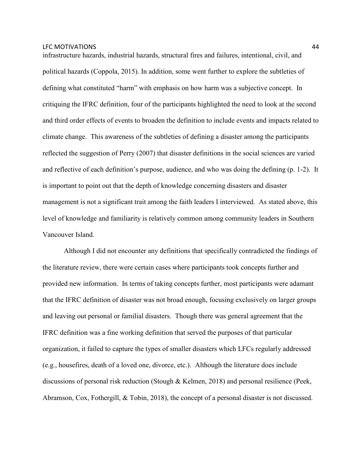infrastructure hazards, industrial hazards, structural fires and failures, intentional, civil, and political hazards (Coppola, 2015). In addition, some went further to explore the subtleties of defining what constituted "harm" with emphasis on how harm was a subjective concept. In critiquing the IFRC definition, four of the participants highlighted the need to look at the second and third order effects of events to broaden the definition to include events and impacts related to climate change. This awareness of the subtleties of defining a disaster among the participants reflected the suggestion of Perry (2007) that disaster definitions in the social sciences are varied and reflective of each definition's purpose, audience, and who was doing the defining (p. 1-2). It is important to point out that the depth of knowledge concerning disasters and disaster management is not a significant trait among the faith leaders I interviewed. As stated above, this level of knowledge and familiarity is relatively common among community leaders in Southern Vancouver Island.

Although I did not encounter any definitions that specifically contradicted the findings of the literature review, there were certain cases where participants took concepts further and provided new information. In terms of taking concepts further, most participants were adamant that the IFRC definition of disaster was not broad enough, focusing exclusively on larger groups and leaving out personal or familial disasters. Though there was general agreement that the IFRC definition was a fine working definition that served the purposes of that particular organization, it failed to capture the types of smaller disasters which LFCs regularly addressed (e.g., housefires, death of a loved one, divorce, etc.). Although the literature does include discussions of personal risk reduction (Stough & Kelmen, 2018) and personal resilience (Peek, Abramson, Cox, Fothergill, & Tobin, 2018), the concept of a personal disaster is not discussed.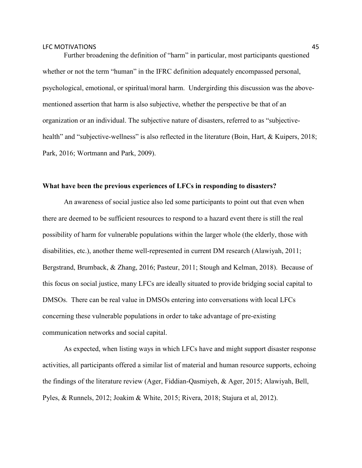Further broadening the definition of "harm" in particular, most participants questioned whether or not the term "human" in the IFRC definition adequately encompassed personal, psychological, emotional, or spiritual/moral harm. Undergirding this discussion was the abovementioned assertion that harm is also subjective, whether the perspective be that of an organization or an individual. The subjective nature of disasters, referred to as "subjectivehealth" and "subjective-wellness" is also reflected in the literature (Boin, Hart, & Kuipers, 2018; Park, 2016; Wortmann and Park, 2009).

# **What have been the previous experiences of LFCs in responding to disasters?**

An awareness of social justice also led some participants to point out that even when there are deemed to be sufficient resources to respond to a hazard event there is still the real possibility of harm for vulnerable populations within the larger whole (the elderly, those with disabilities, etc.), another theme well-represented in current DM research (Alawiyah, 2011; Bergstrand, Brumback, & Zhang, 2016; Pasteur, 2011; Stough and Kelman, 2018). Because of this focus on social justice, many LFCs are ideally situated to provide bridging social capital to DMSOs. There can be real value in DMSOs entering into conversations with local LFCs concerning these vulnerable populations in order to take advantage of pre-existing communication networks and social capital.

As expected, when listing ways in which LFCs have and might support disaster response activities, all participants offered a similar list of material and human resource supports, echoing the findings of the literature review (Ager, Fiddian-Qasmiyeh, & Ager, 2015; Alawiyah, Bell, Pyles, & Runnels, 2012; Joakim & White, 2015; Rivera, 2018; Stajura et al, 2012).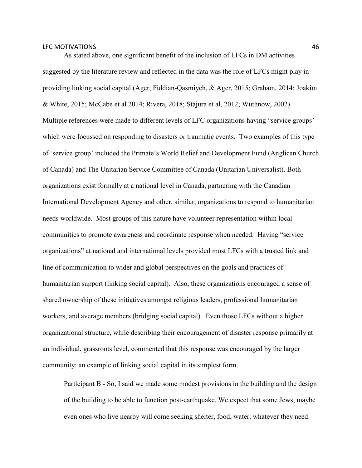As stated above, one significant benefit of the inclusion of LFCs in DM activities suggested by the literature review and reflected in the data was the role of LFCs might play in providing linking social capital (Ager, Fiddian-Qasmiyeh, & Ager, 2015; Graham, 2014; Joakim & White, 2015; McCabe et al 2014; Rivera, 2018; Stajura et al, 2012; Wuthnow, 2002). Multiple references were made to different levels of LFC organizations having "service groups' which were focussed on responding to disasters or traumatic events. Two examples of this type of 'service group' included the Primate's World Relief and Development Fund (Anglican Church of Canada) and The Unitarian Service Committee of Canada (Unitarian Universalist). Both organizations exist formally at a national level in Canada, partnering with the Canadian International Development Agency and other, similar, organizations to respond to humanitarian needs worldwide. Most groups of this nature have volunteer representation within local communities to promote awareness and coordinate response when needed. Having "service organizations" at national and international levels provided most LFCs with a trusted link and line of communication to wider and global perspectives on the goals and practices of humanitarian support (linking social capital). Also, these organizations encouraged a sense of shared ownership of these initiatives amongst religious leaders, professional humanitarian workers, and average members (bridging social capital). Even those LFCs without a higher organizational structure, while describing their encouragement of disaster response primarily at an individual, grassroots level, commented that this response was encouraged by the larger community: an example of linking social capital in its simplest form.

Participant B - So, I said we made some modest provisions in the building and the design of the building to be able to function post-earthquake. We expect that some Jews, maybe even ones who live nearby will come seeking shelter, food, water, whatever they need.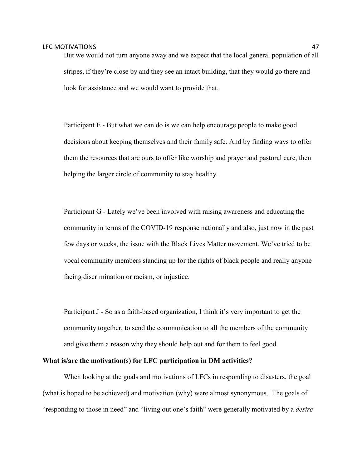But we would not turn anyone away and we expect that the local general population of all stripes, if they're close by and they see an intact building, that they would go there and look for assistance and we would want to provide that.

Participant E - But what we can do is we can help encourage people to make good decisions about keeping themselves and their family safe. And by finding ways to offer them the resources that are ours to offer like worship and prayer and pastoral care, then helping the larger circle of community to stay healthy.

Participant G - Lately we've been involved with raising awareness and educating the community in terms of the COVID-19 response nationally and also, just now in the past few days or weeks, the issue with the Black Lives Matter movement. We've tried to be vocal community members standing up for the rights of black people and really anyone facing discrimination or racism, or injustice.

Participant J - So as a faith-based organization, I think it's very important to get the community together, to send the communication to all the members of the community and give them a reason why they should help out and for them to feel good.

### **What is/are the motivation(s) for LFC participation in DM activities?**

When looking at the goals and motivations of LFCs in responding to disasters, the goal (what is hoped to be achieved) and motivation (why) were almost synonymous. The goals of "responding to those in need" and "living out one's faith" were generally motivated by a *desire*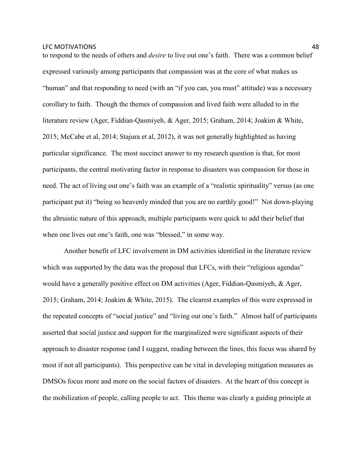to respond to the needs of others and *desire* to live out one's faith. There was a common belief expressed variously among participants that compassion was at the core of what makes us "human" and that responding to need (with an "if you can, you must" attitude) was a necessary corollary to faith. Though the themes of compassion and lived faith were alluded to in the literature review (Ager, Fiddian-Qasmiyeh, & Ager, 2015; Graham, 2014; Joakim & White, 2015; McCabe et al, 2014; Stajura et al, 2012), it was not generally highlighted as having particular significance. The most succinct answer to my research question is that, for most participants, the central motivating factor in response to disasters was compassion for those in need. The act of living out one's faith was an example of a "realistic spirituality" versus (as one participant put it) "being so heavenly minded that you are no earthly good!" Not down-playing the altruistic nature of this approach, multiple participants were quick to add their belief that when one lives out one's faith, one was "blessed," in some way.

Another benefit of LFC involvement in DM activities identified in the literature review which was supported by the data was the proposal that LFCs, with their "religious agendas" would have a generally positive effect on DM activities (Ager, Fiddian-Qasmiyeh, & Ager, 2015; Graham, 2014; Joakim & White, 2015). The clearest examples of this were expressed in the repeated concepts of "social justice" and "living out one's faith." Almost half of participants asserted that social justice and support for the marginalized were significant aspects of their approach to disaster response (and I suggest, reading between the lines, this focus was shared by most if not all participants). This perspective can be vital in developing mitigation measures as DMSOs focus more and more on the social factors of disasters. At the heart of this concept is the mobilization of people, calling people to act. This theme was clearly a guiding principle at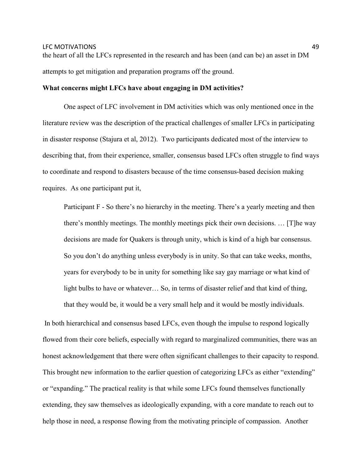the heart of all the LFCs represented in the research and has been (and can be) an asset in DM attempts to get mitigation and preparation programs off the ground.

# **What concerns might LFCs have about engaging in DM activities?**

 One aspect of LFC involvement in DM activities which was only mentioned once in the literature review was the description of the practical challenges of smaller LFCs in participating in disaster response (Stajura et al, 2012). Two participants dedicated most of the interview to describing that, from their experience, smaller, consensus based LFCs often struggle to find ways to coordinate and respond to disasters because of the time consensus-based decision making requires. As one participant put it,

Participant F - So there's no hierarchy in the meeting. There's a yearly meeting and then there's monthly meetings. The monthly meetings pick their own decisions. … [T]he way decisions are made for Quakers is through unity, which is kind of a high bar consensus. So you don't do anything unless everybody is in unity. So that can take weeks, months, years for everybody to be in unity for something like say gay marriage or what kind of light bulbs to have or whatever… So, in terms of disaster relief and that kind of thing, that they would be, it would be a very small help and it would be mostly individuals.

 In both hierarchical and consensus based LFCs, even though the impulse to respond logically flowed from their core beliefs, especially with regard to marginalized communities, there was an honest acknowledgement that there were often significant challenges to their capacity to respond. This brought new information to the earlier question of categorizing LFCs as either "extending" or "expanding." The practical reality is that while some LFCs found themselves functionally extending, they saw themselves as ideologically expanding, with a core mandate to reach out to help those in need, a response flowing from the motivating principle of compassion. Another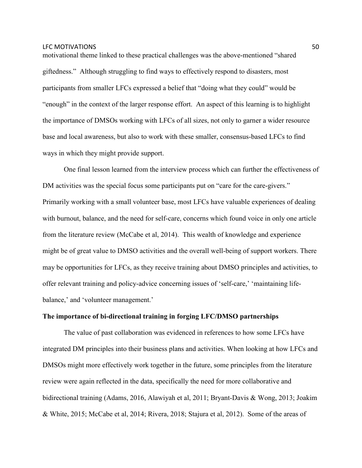motivational theme linked to these practical challenges was the above-mentioned "shared giftedness." Although struggling to find ways to effectively respond to disasters, most participants from smaller LFCs expressed a belief that "doing what they could" would be "enough" in the context of the larger response effort. An aspect of this learning is to highlight the importance of DMSOs working with LFCs of all sizes, not only to garner a wider resource base and local awareness, but also to work with these smaller, consensus-based LFCs to find ways in which they might provide support.

 One final lesson learned from the interview process which can further the effectiveness of DM activities was the special focus some participants put on "care for the care-givers." Primarily working with a small volunteer base, most LFCs have valuable experiences of dealing with burnout, balance, and the need for self-care, concerns which found voice in only one article from the literature review (McCabe et al, 2014). This wealth of knowledge and experience might be of great value to DMSO activities and the overall well-being of support workers. There may be opportunities for LFCs, as they receive training about DMSO principles and activities, to offer relevant training and policy-advice concerning issues of 'self-care,' 'maintaining lifebalance,' and 'volunteer management.'

# **The importance of bi-directional training in forging LFC/DMSO partnerships**

The value of past collaboration was evidenced in references to how some LFCs have integrated DM principles into their business plans and activities. When looking at how LFCs and DMSOs might more effectively work together in the future, some principles from the literature review were again reflected in the data, specifically the need for more collaborative and bidirectional training (Adams, 2016, Alawiyah et al, 2011; Bryant-Davis & Wong, 2013; Joakim & White, 2015; McCabe et al, 2014; Rivera, 2018; Stajura et al, 2012). Some of the areas of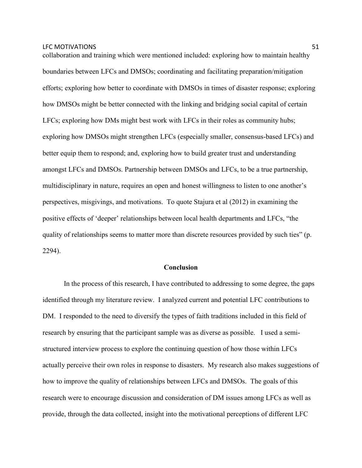collaboration and training which were mentioned included: exploring how to maintain healthy boundaries between LFCs and DMSOs; coordinating and facilitating preparation/mitigation efforts; exploring how better to coordinate with DMSOs in times of disaster response; exploring how DMSOs might be better connected with the linking and bridging social capital of certain LFCs; exploring how DMs might best work with LFCs in their roles as community hubs; exploring how DMSOs might strengthen LFCs (especially smaller, consensus-based LFCs) and better equip them to respond; and, exploring how to build greater trust and understanding amongst LFCs and DMSOs. Partnership between DMSOs and LFCs, to be a true partnership, multidisciplinary in nature, requires an open and honest willingness to listen to one another's perspectives, misgivings, and motivations. To quote Stajura et al (2012) in examining the positive effects of 'deeper' relationships between local health departments and LFCs, "the quality of relationships seems to matter more than discrete resources provided by such ties" (p. 2294).

# **Conclusion**

In the process of this research, I have contributed to addressing to some degree, the gaps identified through my literature review. I analyzed current and potential LFC contributions to DM. I responded to the need to diversify the types of faith traditions included in this field of research by ensuring that the participant sample was as diverse as possible. I used a semistructured interview process to explore the continuing question of how those within LFCs actually perceive their own roles in response to disasters. My research also makes suggestions of how to improve the quality of relationships between LFCs and DMSOs. The goals of this research were to encourage discussion and consideration of DM issues among LFCs as well as provide, through the data collected, insight into the motivational perceptions of different LFC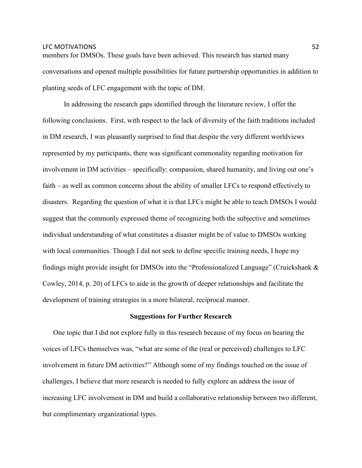members for DMSOs. These goals have been achieved. This research has started many conversations and opened multiple possibilities for future partnership opportunities in addition to planting seeds of LFC engagement with the topic of DM.

In addressing the research gaps identified through the literature review, I offer the following conclusions. First, with respect to the lack of diversity of the faith traditions included in DM research, I was pleasantly surprised to find that despite the very different worldviews represented by my participants, there was significant commonality regarding motivation for involvement in DM activities – specifically: compassion, shared humanity, and living out one's faith – as well as common concerns about the ability of smaller LFCs to respond effectively to disasters. Regarding the question of what it is that LFCs might be able to teach DMSOs I would suggest that the commonly expressed theme of recognizing both the subjective and sometimes individual understanding of what constitutes a disaster might be of value to DMSOs working with local communities. Though I did not seek to define specific training needs, I hope my findings might provide insight for DMSOs into the "Professionalized Language" (Cruickshank & Cowley, 2014, p. 20) of LFCs to aide in the growth of deeper relationships and facilitate the development of training strategies in a more bilateral, reciprocal manner.

# **Suggestions for Further Research**

One topic that I did not explore fully in this research because of my focus on hearing the voices of LFCs themselves was, "what are some of the (real or perceived) challenges to LFC involvement in future DM activities?" Although some of my findings touched on the issue of challenges, I believe that more research is needed to fully explore an address the issue of increasing LFC involvement in DM and build a collaborative relationship between two different, but complimentary organizational types.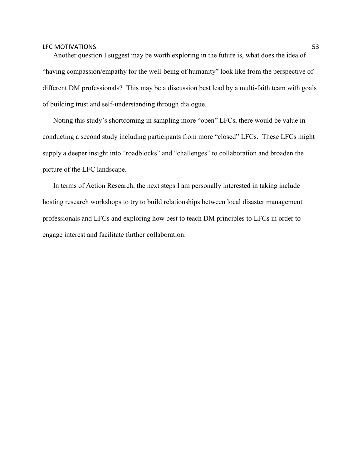Another question I suggest may be worth exploring in the future is, what does the idea of "having compassion/empathy for the well-being of humanity" look like from the perspective of different DM professionals? This may be a discussion best lead by a multi-faith team with goals of building trust and self-understanding through dialogue.

Noting this study's shortcoming in sampling more "open" LFCs, there would be value in conducting a second study including participants from more "closed" LFCs. These LFCs might supply a deeper insight into "roadblocks" and "challenges" to collaboration and broaden the picture of the LFC landscape.

In terms of Action Research, the next steps I am personally interested in taking include hosting research workshops to try to build relationships between local disaster management professionals and LFCs and exploring how best to teach DM principles to LFCs in order to engage interest and facilitate further collaboration.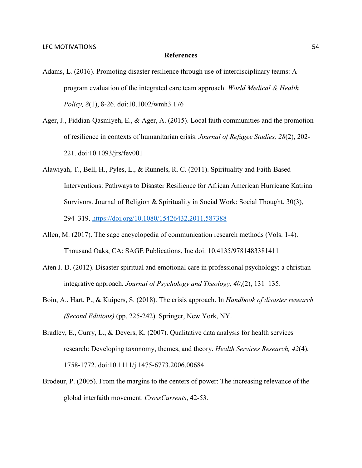# **References**

- Adams, L. (2016). Promoting disaster resilience through use of interdisciplinary teams: A program evaluation of the integrated care team approach. *World Medical & Health Policy, 8*(1), 8-26. doi:10.1002/wmh3.176
- Ager, J., Fiddian-Qasmiyeh, E., & Ager, A. (2015). Local faith communities and the promotion of resilience in contexts of humanitarian crisis. *Journal of Refugee Studies, 28*(2), 202- 221. doi:10.1093/jrs/fev001
- Alawiyah, T., Bell, H., Pyles, L., & Runnels, R. C. (2011). Spirituality and Faith-Based Interventions: Pathways to Disaster Resilience for African American Hurricane Katrina Survivors. Journal of Religion & Spirituality in Social Work: Social Thought, 30(3), 294–319. https://doi.org/10.1080/15426432.2011.587388
- Allen, M. (2017). The sage encyclopedia of communication research methods (Vols. 1-4). Thousand Oaks, CA: SAGE Publications, Inc doi: 10.4135/9781483381411
- Aten J. D. (2012). Disaster spiritual and emotional care in professional psychology: a christian integrative approach. *Journal of Psychology and Theology, 40*,(2), 131–135.
- Boin, A., Hart, P., & Kuipers, S. (2018). The crisis approach. In *Handbook of disaster research (Second Editions)* (pp. 225-242). Springer, New York, NY.
- Bradley, E., Curry, L., & Devers, K. (2007). Qualitative data analysis for health services research: Developing taxonomy, themes, and theory. *Health Services Research, 42*(4), 1758-1772. doi:10.1111/j.1475-6773.2006.00684.
- Brodeur, P. (2005). From the margins to the centers of power: The increasing relevance of the global interfaith movement. *CrossCurrents*, 42-53.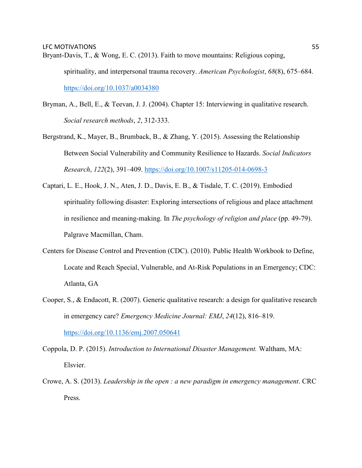Bryant-Davis, T., & Wong, E. C. (2013). Faith to move mountains: Religious coping, spirituality, and interpersonal trauma recovery. *American Psychologist*, *68*(8), 675–684. https://doi.org/10.1037/a0034380

- Bryman, A., Bell, E., & Teevan, J. J. (2004). Chapter 15: Interviewing in qualitative research. *Social research methods*, *2*, 312-333.
- Bergstrand, K., Mayer, B., Brumback, B., & Zhang, Y. (2015). Assessing the Relationship Between Social Vulnerability and Community Resilience to Hazards. *Social Indicators Research*, *122*(2), 391–409. https://doi.org/10.1007/s11205-014-0698-3
- Captari, L. E., Hook, J. N., Aten, J. D., Davis, E. B., & Tisdale, T. C. (2019). Embodied spirituality following disaster: Exploring intersections of religious and place attachment in resilience and meaning-making. In *The psychology of religion and place* (pp. 49-79). Palgrave Macmillan, Cham.
- Centers for Disease Control and Prevention (CDC). (2010). Public Health Workbook to Define, Locate and Reach Special, Vulnerable, and At-Risk Populations in an Emergency; CDC: Atlanta, GA
- Cooper, S., & Endacott, R. (2007). Generic qualitative research: a design for qualitative research in emergency care? *Emergency Medicine Journal: EMJ*, *24*(12), 816–819. https://doi.org/10.1136/emj.2007.050641
- Coppola, D. P. (2015). *Introduction to International Disaster Management.* Waltham, MA: Elsvier.
- Crowe, A. S. (2013). *Leadership in the open : a new paradigm in emergency management*. CRC Press.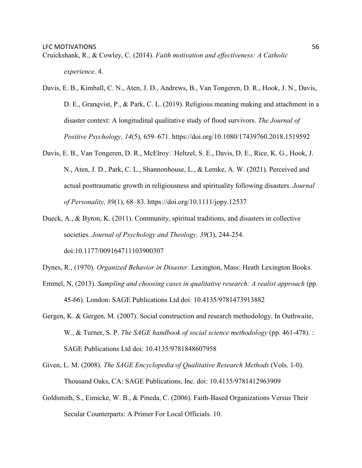Cruickshank, R., & Cowley, C. (2014). *Faith motivation and effectiveness: A Catholic* 

*experience.* 4.

Davis, E. B., Kimball, C. N., Aten, J. D., Andrews, B., Van Tongeren, D. R., Hook, J. N., Davis, D. E., Granqvist, P., & Park, C. L. (2019). Religious meaning making and attachment in a disaster context: A longitudinal qualitative study of flood survivors. *The Journal of Positive Psychology, 14*(5), 659–671. https://doi.org/10.1080/17439760.2018.1519592

- Davis, E. B., Van Tongeren, D. R., McElroy□Heltzel, S. E., Davis, D. E., Rice, K. G., Hook, J. N., Aten, J. D., Park, C. L., Shannonhouse, L., & Lemke, A. W. (2021). Perceived and actual posttraumatic growth in religiousness and spirituality following disasters. *Journal of Personality, 89*(1), 68–83. https://doi.org/10.1111/jopy.12537
- Dueck, A., & Byron, K. (2011). Community, spiritual traditions, and disasters in collective societies. *Journal of Psychology and Theology, 39*(3), 244-254. doi:10.1177/009164711103900307
- Dynes, R., (1970). *Organized Behavior in Disaster.* Lexington, Mass: Heath Lexington Books.
- Emmel, N, (2013). *Sampling and choosing cases in qualitative research: A realist approach* (pp. 45-66). London: SAGE Publications Ltd doi: 10.4135/9781473913882
- Gergen, K. & Gergen, M. (2007). Social construction and research methodology. In Outhwaite, W., & Turner, S. P. *The SAGE handbook of social science methodology* (pp. 461-478). : SAGE Publications Ltd doi: 10.4135/9781848607958
- Given, L. M. (2008). *The SAGE Encyclopedia of Qualitative Research Methods* (Vols. 1-0). Thousand Oaks, CA: SAGE Publications, Inc. doi: 10.4135/9781412963909
- Goldsmith, S., Eimicke, W. B., & Pineda, C. (2006). Faith-Based Organizations Versus Their Secular Counterparts: A Primer For Local Officials. 10.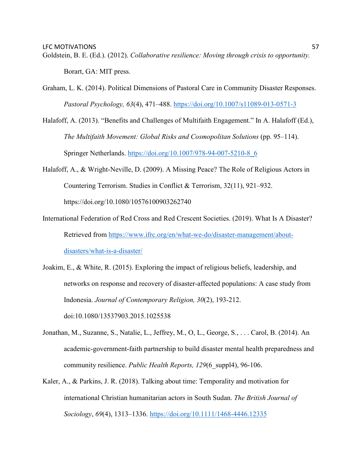- Goldstein, B. E. (Ed.). (2012). *Collaborative resilience: Moving through crisis to opportunity.* Borart, GA: MIT press.
- Graham, L. K. (2014). Political Dimensions of Pastoral Care in Community Disaster Responses. *Pastoral Psychology, 63*(4), 471–488. https://doi.org/10.1007/s11089-013-0571-3
- Halafoff, A. (2013). "Benefits and Challenges of Multifaith Engagement." In A. Halafoff (Ed.), *The Multifaith Movement: Global Risks and Cosmopolitan Solutions* (pp. 95–114). Springer Netherlands. https://doi.org/10.1007/978-94-007-5210-8\_6
- Halafoff, A., & Wright-Neville, D. (2009). A Missing Peace? The Role of Religious Actors in Countering Terrorism. Studies in Conflict & Terrorism, 32(11), 921–932. https://doi.org/10.1080/10576100903262740
- International Federation of Red Cross and Red Crescent Societies. (2019). What Is A Disaster? Retrieved from https://www.ifrc.org/en/what-we-do/disaster-management/aboutdisasters/what-is-a-disaster/
- Joakim, E., & White, R. (2015). Exploring the impact of religious beliefs, leadership, and networks on response and recovery of disaster-affected populations: A case study from Indonesia. *Journal of Contemporary Religion, 30*(2), 193-212. doi:10.1080/13537903.2015.1025538
- Jonathan, M., Suzanne, S., Natalie, L., Jeffrey, M., O, L., George, S., . . . Carol, B. (2014). An academic-government-faith partnership to build disaster mental health preparedness and community resilience. *Public Health Reports, 129*(6\_suppl4), 96-106.
- Kaler, A., & Parkins, J. R. (2018). Talking about time: Temporality and motivation for international Christian humanitarian actors in South Sudan. *The British Journal of Sociology*, *69*(4), 1313–1336. https://doi.org/10.1111/1468-4446.12335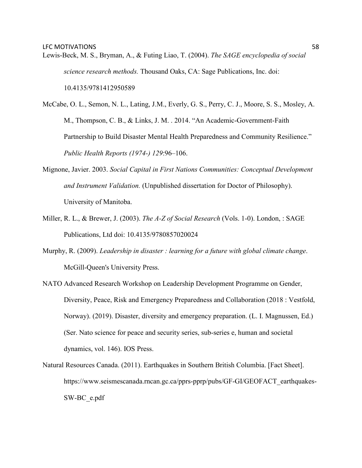Lewis-Beck, M. S., Bryman, A., & Futing Liao, T. (2004). *The SAGE encyclopedia of social science research methods.* Thousand Oaks, CA: Sage Publications, Inc. doi: 10.4135/9781412950589

McCabe, O. L., Semon, N. L., Lating, J.M., Everly, G. S., Perry, C. J., Moore, S. S., Mosley, A. M., Thompson, C. B., & Links, J. M. . 2014. "An Academic-Government-Faith Partnership to Build Disaster Mental Health Preparedness and Community Resilience." *Public Health Reports (1974-) 129*:96–106.

- Mignone, Javier. 2003. *Social Capital in First Nations Communities: Conceptual Development and Instrument Validation.* (Unpublished dissertation for Doctor of Philosophy). University of Manitoba.
- Miller, R. L., & Brewer, J. (2003). *The A-Z of Social Research* (Vols. 1-0). London, : SAGE Publications, Ltd doi: 10.4135/9780857020024
- Murphy, R. (2009). *Leadership in disaster : learning for a future with global climate change*. McGill-Queen's University Press.
- NATO Advanced Research Workshop on Leadership Development Programme on Gender, Diversity, Peace, Risk and Emergency Preparedness and Collaboration (2018 : Vestfold, Norway). (2019). Disaster, diversity and emergency preparation. (L. I. Magnussen, Ed.) (Ser. Nato science for peace and security series, sub-series e, human and societal dynamics, vol. 146). IOS Press.
- Natural Resources Canada. (2011). Earthquakes in Southern British Columbia. [Fact Sheet]. https://www.seismescanada.rncan.gc.ca/pprs-pprp/pubs/GF-GI/GEOFACT\_earthquakes-SW-BC\_e.pdf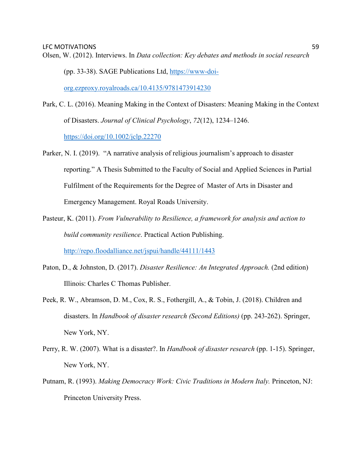(pp. 33-38). SAGE Publications Ltd, https://www-doi-

org.ezproxy.royalroads.ca/10.4135/9781473914230

Park, C. L. (2016). Meaning Making in the Context of Disasters: Meaning Making in the Context of Disasters. *Journal of Clinical Psychology*, *72*(12), 1234–1246.

https://doi.org/10.1002/jclp.22270

- Parker, N. I. (2019). "A narrative analysis of religious journalism's approach to disaster reporting." A Thesis Submitted to the Faculty of Social and Applied Sciences in Partial Fulfilment of the Requirements for the Degree of Master of Arts in Disaster and Emergency Management. Royal Roads University.
- Pasteur, K. (2011). *From Vulnerability to Resilience, a framework for analysis and action to build community resilience*. Practical Action Publishing.

http://repo.floodalliance.net/jspui/handle/44111/1443

- Paton, D., & Johnston, D. (2017). *Disaster Resilience: An Integrated Approach.* (2nd edition) Illinois: Charles C Thomas Publisher.
- Peek, R. W., Abramson, D. M., Cox, R. S., Fothergill, A., & Tobin, J. (2018). Children and disasters. In *Handbook of disaster research (Second Editions)* (pp. 243-262). Springer, New York, NY.
- Perry, R. W. (2007). What is a disaster?. In *Handbook of disaster research* (pp. 1-15). Springer, New York, NY.
- Putnam, R. (1993). *Making Democracy Work: Civic Traditions in Modern Italy.* Princeton, NJ: Princeton University Press.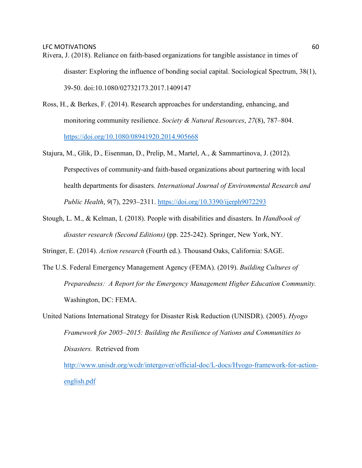Rivera, J. (2018). Reliance on faith-based organizations for tangible assistance in times of disaster: Exploring the influence of bonding social capital. Sociological Spectrum, 38(1), 39-50. doi:10.1080/02732173.2017.1409147

Ross, H., & Berkes, F. (2014). Research approaches for understanding, enhancing, and monitoring community resilience. *Society & Natural Resources*, *27*(8), 787–804. https://doi.org/10.1080/08941920.2014.905668

Stajura, M., Glik, D., Eisenman, D., Prelip, M., Martel, A., & Sammartinova, J. (2012). Perspectives of community-and faith-based organizations about partnering with local health departments for disasters. *International Journal of Environmental Research and Public Health*, *9*(7), 2293–2311. https://doi.org/10.3390/ijerph9072293

Stough, L. M., & Kelman, I. (2018). People with disabilities and disasters. In *Handbook of disaster research (Second Editions)* (pp. 225-242). Springer, New York, NY.

Stringer, E. (2014). *Action research* (Fourth ed.). Thousand Oaks, California: SAGE.

The U.S. Federal Emergency Management Agency (FEMA). (2019). *Building Cultures of Preparedness: A Report for the Emergency Management Higher Education Community.* Washington, DC: FEMA.

United Nations International Strategy for Disaster Risk Reduction (UNISDR). (2005). *Hyogo Framework for 2005–2015: Building the Resilience of Nations and Communities to Disasters.* Retrieved from

http://www.unisdr.org/wcdr/intergover/official-doc/L-docs/Hyogo-framework-for-actionenglish.pdf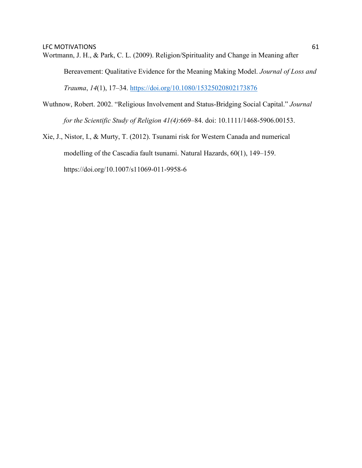Wortmann, J. H., & Park, C. L. (2009). Religion/Spirituality and Change in Meaning after Bereavement: Qualitative Evidence for the Meaning Making Model. *Journal of Loss and* 

*Trauma*, *14*(1), 17–34. https://doi.org/10.1080/15325020802173876

Wuthnow, Robert. 2002. "Religious Involvement and Status-Bridging Social Capital." *Journal for the Scientific Study of Religion 41(4)*:669–84. doi: 10.1111/1468-5906.00153.

Xie, J., Nistor, I., & Murty, T. (2012). Tsunami risk for Western Canada and numerical modelling of the Cascadia fault tsunami. Natural Hazards, 60(1), 149–159.

https://doi.org/10.1007/s11069-011-9958-6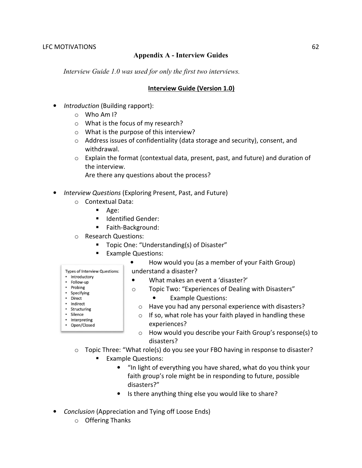# **Appendix A - Interview Guides**

*Interview Guide 1.0 was used for only the first two interviews.* 

# **Interview Guide (Version 1.0)**

- *Introduction* (Building rapport):
	- $\circ$  Who Am I?
	- o What is the focus of my research?
	- o What is the purpose of this interview?
	- $\circ$  Address issues of confidentiality (data storage and security), consent, and withdrawal.
	- o Explain the format (contextual data, present, past, and future) and duration of the interview.
		- Are there any questions about the process?
- *Interview Questions* (Exploring Present, Past, and Future)
	- o Contextual Data:
		- Age:
		- **Identified Gender:**
		- **Faith-Background:**
	- o Research Questions:
		- Topic One: "Understanding(s) of Disaster"
		- **Example Questions:** 
			- How would you (as a member of your Faith Group)
	- **Types of Interview Questions:**
	- Introductory • Follow-up
	- Probing
	- Specifying
	- Direct
	- Indirect
	- Structuring · Silence
	- Interpreting
	- Open/Closed
- understand a disaster?
- What makes an event a 'disaster?'
- o Topic Two: "Experiences of Dealing with Disasters"
	- Example Questions:
	- o Have you had any personal experience with disasters?
	- $\circ$  If so, what role has your faith played in handling these experiences?
	- o How would you describe your Faith Group's response(s) to disasters?
- o Topic Three: "What role(s) do you see your FBO having in response to disaster?
	- Example Questions:
		- "In light of everything you have shared, what do you think your faith group's role might be in responding to future, possible disasters?"
		- Is there anything thing else you would like to share?
- *Conclusion* (Appreciation and Tying off Loose Ends)
	- o Offering Thanks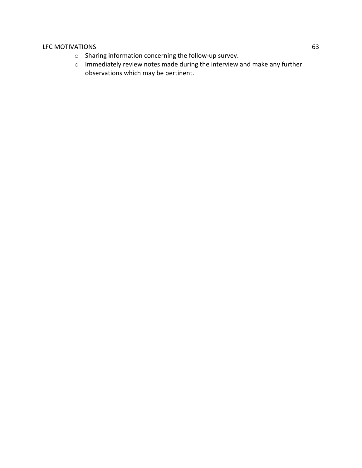- o Sharing information concerning the follow-up survey.
- o Immediately review notes made during the interview and make any further observations which may be pertinent.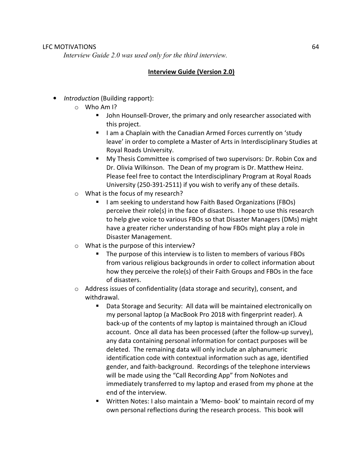*Interview Guide 2.0 was used only for the third interview.* 

# **Interview Guide (Version 2.0)**

- *Introduction* (Building rapport):
	- o Who Am I?
		- **John Hounsell-Drover, the primary and only researcher associated with** this project.
		- I am a Chaplain with the Canadian Armed Forces currently on 'study leave' in order to complete a Master of Arts in Interdisciplinary Studies at Royal Roads University.
		- My Thesis Committee is comprised of two supervisors: Dr. Robin Cox and Dr. Olivia Wilkinson. The Dean of my program is Dr. Matthew Heinz. Please feel free to contact the Interdisciplinary Program at Royal Roads University (250-391-2511) if you wish to verify any of these details.
	- o What is the focus of my research?
		- I am seeking to understand how Faith Based Organizations (FBOs) perceive their role(s) in the face of disasters. I hope to use this research to help give voice to various FBOs so that Disaster Managers (DMs) might have a greater richer understanding of how FBOs might play a role in Disaster Management.
	- o What is the purpose of this interview?
		- The purpose of this interview is to listen to members of various FBOs from various religious backgrounds in order to collect information about how they perceive the role(s) of their Faith Groups and FBOs in the face of disasters.
	- o Address issues of confidentiality (data storage and security), consent, and withdrawal.
		- Data Storage and Security: All data will be maintained electronically on my personal laptop (a MacBook Pro 2018 with fingerprint reader). A back-up of the contents of my laptop is maintained through an iCloud account. Once all data has been processed (after the follow-up survey), any data containing personal information for contact purposes will be deleted. The remaining data will only include an alphanumeric identification code with contextual information such as age, identified gender, and faith-background. Recordings of the telephone interviews will be made using the "Call Recording App" from NoNotes and immediately transferred to my laptop and erased from my phone at the end of the interview.
		- Written Notes: I also maintain a 'Memo- book' to maintain record of my own personal reflections during the research process. This book will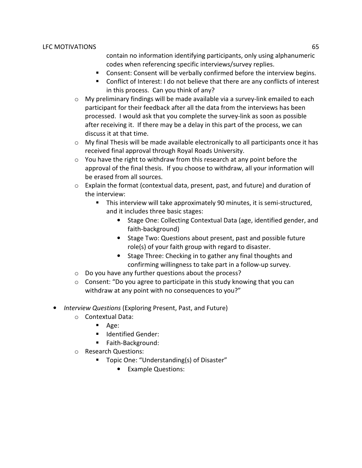contain no information identifying participants, only using alphanumeric codes when referencing specific interviews/survey replies.

- Consent: Consent will be verbally confirmed before the interview begins.
- Conflict of Interest: I do not believe that there are any conflicts of interest in this process. Can you think of any?
- $\circ$  My preliminary findings will be made available via a survey-link emailed to each participant for their feedback after all the data from the interviews has been processed. I would ask that you complete the survey-link as soon as possible after receiving it. If there may be a delay in this part of the process, we can discuss it at that time.
- $\circ$  My final Thesis will be made available electronically to all participants once it has received final approval through Royal Roads University.
- $\circ$  You have the right to withdraw from this research at any point before the approval of the final thesis. If you choose to withdraw, all your information will be erased from all sources.
- $\circ$  Explain the format (contextual data, present, past, and future) and duration of the interview:
	- This interview will take approximately 90 minutes, it is semi-structured, and it includes three basic stages:
		- Stage One: Collecting Contextual Data (age, identified gender, and faith-background)
		- Stage Two: Questions about present, past and possible future role(s) of your faith group with regard to disaster.
		- Stage Three: Checking in to gather any final thoughts and confirming willingness to take part in a follow-up survey.
- o Do you have any further questions about the process?
- o Consent: "Do you agree to participate in this study knowing that you can withdraw at any point with no consequences to you?"
- *Interview Questions* (Exploring Present, Past, and Future)
	- o Contextual Data:
		- Age:
		- **IDENTIFIED Gender:**
		- Faith-Background:
	- o Research Questions:
		- **Topic One: "Understanding(s) of Disaster"** 
			- Example Questions: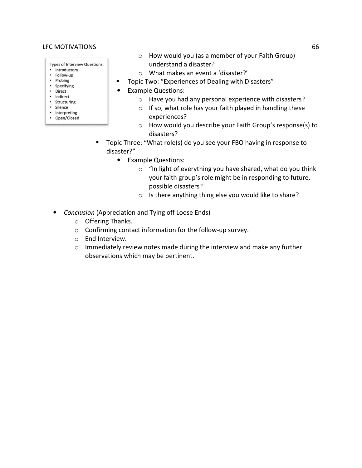- **Types of Interview Questions:**
- Introductory
- Follow-up • Probing
- Specifying
- Direct
- Indirect
- Structuring
- · Silence
- Interpreting
- Open/Closed
- o How would you (as a member of your Faith Group) understand a disaster?
- o What makes an event a 'disaster?'
- Topic Two: "Experiences of Dealing with Disasters"
- Example Questions:
	- o Have you had any personal experience with disasters?
	- $\circ$  If so, what role has your faith played in handling these experiences?
	- o How would you describe your Faith Group's response(s) to disasters?
- Topic Three: "What role(s) do you see your FBO having in response to disaster?"
	- Example Questions:
		- o "In light of everything you have shared, what do you think your faith group's role might be in responding to future, possible disasters?
		- o Is there anything thing else you would like to share?
- *Conclusion* (Appreciation and Tying off Loose Ends)
	- o Offering Thanks.
	- o Confirming contact information for the follow-up survey.
	- o End Interview.
	- o Immediately review notes made during the interview and make any further observations which may be pertinent.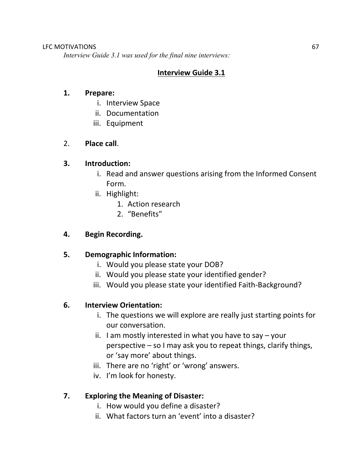*Interview Guide 3.1 was used for the final nine interviews:* 

# **Interview Guide 3.1**

# **1. Prepare:**

- i. Interview Space
- ii. Documentation
- iii. Equipment

# 2. **Place call**.

# **3. Introduction:**

- i. Read and answer questions arising from the Informed Consent Form.
- ii. Highlight:
	- 1. Action research
	- 2. "Benefits"

# **4. Begin Recording.**

# **5. Demographic Information:**

- i. Would you please state your DOB?
- ii. Would you please state your identified gender?
- iii. Would you please state your identified Faith-Background?

# **6. Interview Orientation:**

- i. The questions we will explore are really just starting points for our conversation.
- ii. I am mostly interested in what you have to say your perspective – so I may ask you to repeat things, clarify things, or 'say more' about things.
- iii. There are no 'right' or 'wrong' answers.
- iv. I'm look for honesty.

# **7. Exploring the Meaning of Disaster:**

- i. How would you define a disaster?
- ii. What factors turn an 'event' into a disaster?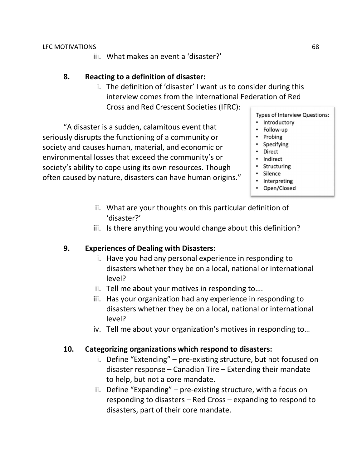iii. What makes an event a 'disaster?'

# **8. Reacting to a definition of disaster:**

i. The definition of 'disaster' I want us to consider during this interview comes from the International Federation of Red Cross and Red Crescent Societies (IFRC):

"A disaster is a sudden, calamitous event that seriously disrupts the functioning of a community or society and causes human, material, and economic or environmental losses that exceed the community's or society's ability to cope using its own resources. Though often caused by nature, disasters can have human origins." **Types of Interview Questions:** 

- Introductory
- Follow-up
- Probing
- Specifying
- **Direct**
- Indirect
- Structuring
- · Silence
- Interpreting
- Open/Closed
- ii. What are your thoughts on this particular definition of 'disaster?'
- iii. Is there anything you would change about this definition?

# **9. Experiences of Dealing with Disasters:**

- i. Have you had any personal experience in responding to disasters whether they be on a local, national or international level?
- ii. Tell me about your motives in responding to….
- iii. Has your organization had any experience in responding to disasters whether they be on a local, national or international level?
- iv. Tell me about your organization's motives in responding to…

# **10. Categorizing organizations which respond to disasters:**

- i. Define "Extending" pre-existing structure, but not focused on disaster response – Canadian Tire – Extending their mandate to help, but not a core mandate.
- ii. Define "Expanding" pre-existing structure, with a focus on responding to disasters – Red Cross – expanding to respond to disasters, part of their core mandate.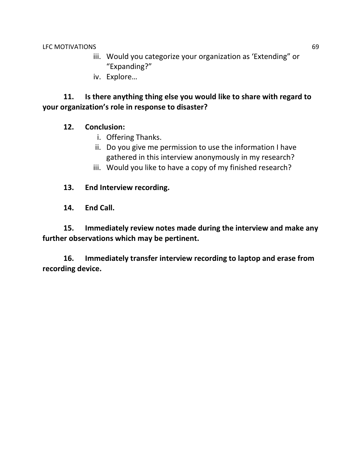- iii. Would you categorize your organization as 'Extending" or "Expanding?"
- iv. Explore…

# **11. Is there anything thing else you would like to share with regard to your organization's role in response to disaster?**

# **12. Conclusion:**

- i. Offering Thanks.
- ii. Do you give me permission to use the information I have gathered in this interview anonymously in my research?
- iii. Would you like to have a copy of my finished research?
- **13. End Interview recording.**
- **14. End Call.**

**15. Immediately review notes made during the interview and make any further observations which may be pertinent.** 

**16. Immediately transfer interview recording to laptop and erase from recording device.**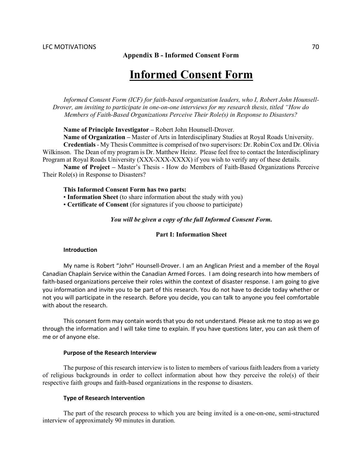**Appendix B - Informed Consent Form** 

# **Informed Consent Form**

*Informed Consent Form (ICF) for faith-based organization leaders, who I, Robert John Hounsell-Drover, am inviting to participate in one-on-one interviews for my research thesis, titled "How do Members of Faith-Based Organizations Perceive Their Role(s) in Response to Disasters?* 

**Name of Principle Investigator –** Robert John Hounsell-Drover.

**Name of Organization –** Master of Arts in Interdisciplinary Studies at Royal Roads University. **Credentials** - My Thesis Committee is comprised of two supervisors: Dr. Robin Cox and Dr. Olivia Wilkinson. The Dean of my program is Dr. Matthew Heinz. Please feel free to contact the Interdisciplinary Program at Royal Roads University (XXX-XXX-XXXX) if you wish to verify any of these details.

**Name of Project –** Master's Thesis - How do Members of Faith-Based Organizations Perceive Their Role(s) in Response to Disasters?

#### **This Informed Consent Form has two parts:**

- **Information Sheet** (to share information about the study with you)
- **Certificate of Consent** (for signatures if you choose to participate)

#### *You will be given a copy of the full Informed Consent Form.*

### **Part I: Information Sheet**

### **Introduction**

My name is Robert "John" Hounsell-Drover. I am an Anglican Priest and a member of the Royal Canadian Chaplain Service within the Canadian Armed Forces. I am doing research into how members of faith-based organizations perceive their roles within the context of disaster response. I am going to give you information and invite you to be part of this research. You do not have to decide today whether or not you will participate in the research. Before you decide, you can talk to anyone you feel comfortable with about the research.

This consent form may contain words that you do not understand. Please ask me to stop as we go through the information and I will take time to explain. If you have questions later, you can ask them of me or of anyone else.

#### **Purpose of the Research Interview**

The purpose of this research interview is to listen to members of various faith leaders from a variety of religious backgrounds in order to collect information about how they perceive the role(s) of their respective faith groups and faith-based organizations in the response to disasters.

#### **Type of Research Intervention**

The part of the research process to which you are being invited is a one-on-one, semi-structured interview of approximately 90 minutes in duration.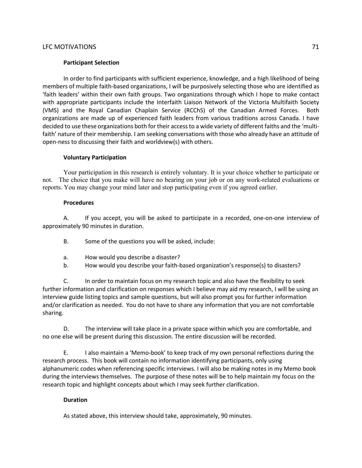# **Participant Selection**

In order to find participants with sufficient experience, knowledge, and a high likelihood of being members of multiple faith-based organizations, I will be purposively selecting those who are identified as 'faith leaders' within their own faith groups. Two organizations through which I hope to make contact with appropriate participants include the Interfaith Liaison Network of the Victoria Multifaith Society (VMS) and the Royal Canadian Chaplain Service (RCChS) of the Canadian Armed Forces. Both organizations are made up of experienced faith leaders from various traditions across Canada. I have decided to use these organizations both for their access to a wide variety of different faiths and the 'multifaith' nature of their membership. I am seeking conversations with those who already have an attitude of open-ness to discussing their faith and worldview(s) with others.

# **Voluntary Participation**

Your participation in this research is entirely voluntary. It is your choice whether to participate or not. The choice that you make will have no bearing on your job or on any work-related evaluations or reports. You may change your mind later and stop participating even if you agreed earlier.

# **Procedures**

A. If you accept, you will be asked to participate in a recorded, one-on-one interview of approximately 90 minutes in duration.

B. Some of the questions you will be asked, include:

- a. How would you describe a disaster?
- b. How would you describe your faith-based organization's response(s) to disasters?

C. In order to maintain focus on my research topic and also have the flexibility to seek further information and clarification on responses which I believe may aid my research, I will be using an interview guide listing topics and sample questions, but will also prompt you for further information and/or clarification as needed. You do not have to share any information that you are not comfortable sharing.

D. The interview will take place in a private space within which you are comfortable, and no one else will be present during this discussion. The entire discussion will be recorded.

E. I also maintain a 'Memo-book' to keep track of my own personal reflections during the research process. This book will contain no information identifying participants, only using alphanumeric codes when referencing specific interviews. I will also be making notes in my Memo book during the interviews themselves. The purpose of these notes will be to help maintain my focus on the research topic and highlight concepts about which I may seek further clarification.

# **Duration**

As stated above, this interview should take, approximately, 90 minutes.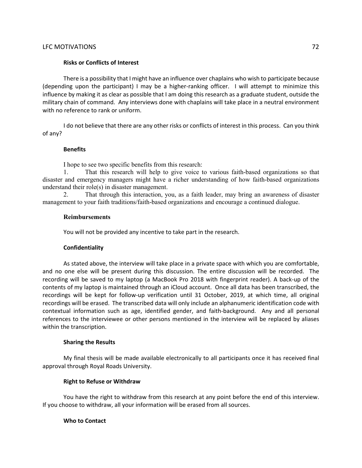# **Risks or Conflicts of Interest**

There is a possibility that I might have an influence over chaplains who wish to participate because (depending upon the participant) I may be a higher-ranking officer. I will attempt to minimize this influence by making it as clear as possible that I am doing this research as a graduate student, outside the military chain of command. Any interviews done with chaplains will take place in a neutral environment with no reference to rank or uniform.

I do not believe that there are any other risks or conflicts of interest in this process. Can you think of any?

# **Benefits**

I hope to see two specific benefits from this research:

1. That this research will help to give voice to various faith-based organizations so that disaster and emergency managers might have a richer understanding of how faith-based organizations understand their role(s) in disaster management.

2. That through this interaction, you, as a faith leader, may bring an awareness of disaster management to your faith traditions/faith-based organizations and encourage a continued dialogue.

# **Reimbursements**

You will not be provided any incentive to take part in the research.

# **Confidentiality**

As stated above, the interview will take place in a private space with which you are comfortable, and no one else will be present during this discussion. The entire discussion will be recorded. The recording will be saved to my laptop (a MacBook Pro 2018 with fingerprint reader). A back-up of the contents of my laptop is maintained through an iCloud account. Once all data has been transcribed, the recordings will be kept for follow-up verification until 31 October, 2019, at which time, all original recordings will be erased. The transcribed data will only include an alphanumeric identification code with contextual information such as age, identified gender, and faith-background. Any and all personal references to the interviewee or other persons mentioned in the interview will be replaced by aliases within the transcription.

#### **Sharing the Results**

My final thesis will be made available electronically to all participants once it has received final approval through Royal Roads University.

# **Right to Refuse or Withdraw**

You have the right to withdraw from this research at any point before the end of this interview. If you choose to withdraw, all your information will be erased from all sources.

# **Who to Contact**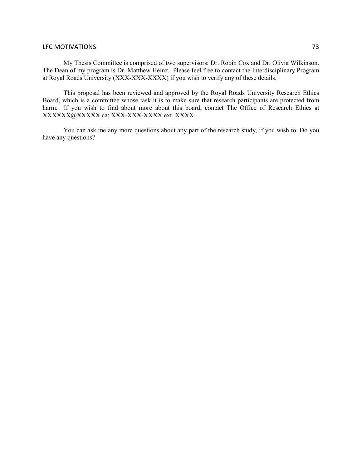#### LFC MOTIVATIONS 23

My Thesis Committee is comprised of two supervisors: Dr. Robin Cox and Dr. Olivia Wilkinson. The Dean of my program is Dr. Matthew Heinz. Please feel free to contact the Interdisciplinary Program at Royal Roads University (XXX-XXX-XXXX) if you wish to verify any of these details.

This proposal has been reviewed and approved by the Royal Roads University Research Ethics Board, which is a committee whose task it is to make sure that research participants are protected from harm. If you wish to find about more about this board, contact The Office of Research Ethics at XXXXXX@XXXXX.ca; XXX-XXX-XXXX ext. XXXX.

You can ask me any more questions about any part of the research study, if you wish to. Do you have any questions?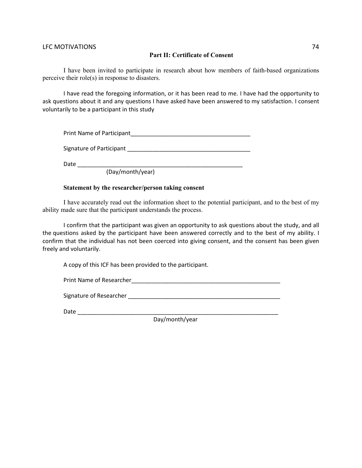## LFC MOTIVATIONS 74

### **Part II: Certificate of Consent**

I have been invited to participate in research about how members of faith-based organizations perceive their role(s) in response to disasters.

I have read the foregoing information, or it has been read to me. I have had the opportunity to ask questions about it and any questions I have asked have been answered to my satisfaction. I consent voluntarily to be a participant in this study

Print Name of Participant\_\_\_\_\_\_\_\_\_\_\_\_\_\_\_\_\_\_\_\_\_\_\_\_\_\_\_\_\_\_\_\_\_\_\_\_\_

Signature of Participant \_\_\_\_\_\_\_\_\_\_\_\_\_\_\_\_\_\_\_\_\_\_\_\_\_\_\_\_\_\_\_\_\_\_\_\_\_\_

Date \_\_\_\_\_\_\_\_\_\_\_\_\_\_\_\_\_\_\_\_\_\_\_\_\_\_\_\_\_\_\_\_\_\_\_\_\_\_\_\_\_\_\_\_\_\_\_\_\_\_\_

(Day/month/year)

## **Statement by the researcher/person taking consent**

I have accurately read out the information sheet to the potential participant, and to the best of my ability made sure that the participant understands the process.

I confirm that the participant was given an opportunity to ask questions about the study, and all the questions asked by the participant have been answered correctly and to the best of my ability. I confirm that the individual has not been coerced into giving consent, and the consent has been given freely and voluntarily.

A copy of this ICF has been provided to the participant.

Print Name of Researcher

Signature of Researcher \_\_\_\_\_\_\_\_\_\_\_\_\_\_\_\_\_\_\_\_\_\_\_\_\_\_\_\_\_\_\_\_\_\_\_\_\_\_\_\_\_\_\_\_\_\_\_

Date \_\_\_\_\_\_\_\_\_\_\_\_\_\_\_\_\_\_\_\_\_\_\_\_\_\_\_\_\_\_\_\_\_\_\_\_\_\_\_\_\_\_\_\_\_\_\_\_\_\_\_\_\_\_\_\_\_\_\_\_\_\_

Day/month/year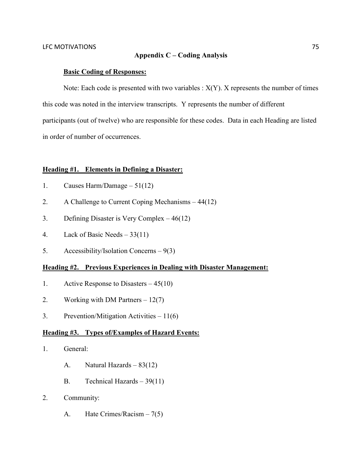## **Appendix C – Coding Analysis**

#### **Basic Coding of Responses:**

Note: Each code is presented with two variables :  $X(Y)$ . X represents the number of times this code was noted in the interview transcripts. Y represents the number of different participants (out of twelve) who are responsible for these codes. Data in each Heading are listed in order of number of occurrences.

## **Heading #1. Elements in Defining a Disaster:**

- 1. Causes Harm/Damage 51(12)
- 2. A Challenge to Current Coping Mechanisms 44(12)
- 3. Defining Disaster is Very Complex 46(12)
- 4. Lack of Basic Needs 33(11)
- 5. Accessibility/Isolation Concerns 9(3)

## **Heading #2. Previous Experiences in Dealing with Disaster Management:**

- 1. Active Response to Disasters 45(10)
- 2. Working with DM Partners 12(7)
- 3. Prevention/Mitigation Activities 11(6)

## **Heading #3. Types of/Examples of Hazard Events:**

- 1. General:
	- A. Natural Hazards 83(12)
	- B. Technical Hazards  $-39(11)$
- 2. Community:
	- A. Hate Crimes/Racism 7(5)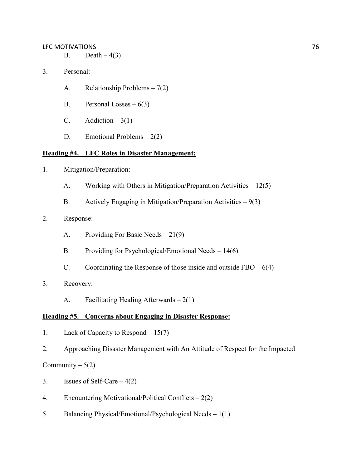## LFC MOTIVATIONS 76

- B. Death  $-4(3)$
- 3. Personal:
	- A. Relationship Problems 7(2)
	- B. Personal Losses  $-6(3)$
	- C. Addiction  $-3(1)$
	- D. Emotional Problems  $-2(2)$

# **Heading #4. LFC Roles in Disaster Management:**

- 1. Mitigation/Preparation:
	- A. Working with Others in Mitigation/Preparation Activities 12(5)
	- B. Actively Engaging in Mitigation/Preparation Activities 9(3)

# 2. Response:

- A. Providing For Basic Needs 21(9)
- B. Providing for Psychological/Emotional Needs 14(6)
- C. Coordinating the Response of those inside and outside  $FBO 6(4)$
- 3. Recovery:
	- A. Facilitating Healing Afterwards  $-2(1)$

## **Heading #5. Concerns about Engaging in Disaster Response:**

- 1. Lack of Capacity to Respond 15(7)
- 2. Approaching Disaster Management with An Attitude of Respect for the Impacted

Community  $-5(2)$ 

- 3. Issues of Self-Care  $-4(2)$
- 4. Encountering Motivational/Political Conflicts 2(2)
- 5. Balancing Physical/Emotional/Psychological Needs 1(1)